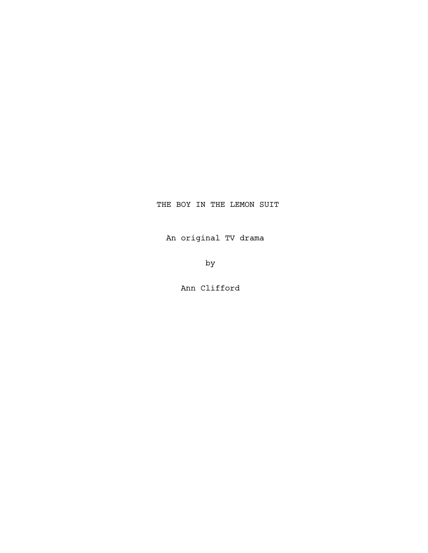## THE BOY IN THE LEMON SUIT

An original TV drama

by

Ann Clifford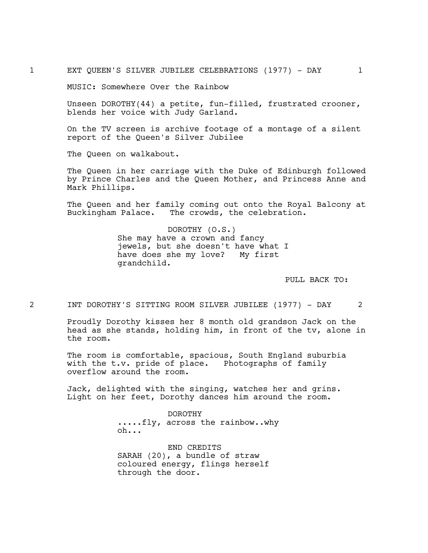MUSIC: Somewhere Over the Rainbow

Unseen DOROTHY(44) a petite, fun-filled, frustrated crooner, blends her voice with Judy Garland.

On the TV screen is archive footage of a montage of a silent report of the Queen's Silver Jubilee

The Queen on walkabout.

The Queen in her carriage with the Duke of Edinburgh followed by Prince Charles and the Queen Mother, and Princess Anne and Mark Phillips.

The Queen and her family coming out onto the Royal Balcony at Buckingham Palace. The crowds, the celebration.

> DOROTHY (O.S.) She may have a crown and fancy jewels, but she doesn't have what I have does she my love? My first grandchild.

> > PULL BACK TO:

2 INT DOROTHY'S SITTING ROOM SILVER JUBILEE (1977) - DAY 2

Proudly Dorothy kisses her 8 month old grandson Jack on the head as she stands, holding him, in front of the tv, alone in the room.

The room is comfortable, spacious, South England suburbia with the t.v. pride of place. Photographs of family overflow around the room.

Jack, delighted with the singing, watches her and grins. Light on her feet, Dorothy dances him around the room.

> DOROTHY .....fly, across the rainbow..why oh...

END CREDITS SARAH (20), a bundle of straw coloured energy, flings herself through the door.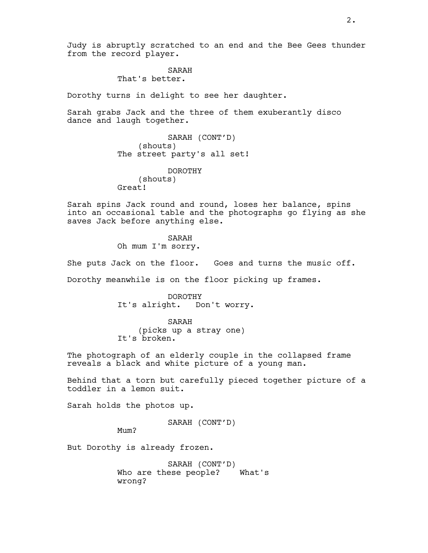# SARAH

That's better.

Dorothy turns in delight to see her daughter.

Sarah grabs Jack and the three of them exuberantly disco dance and laugh together.

> SARAH (CONT'D) (shouts) The street party's all set!

DOROTHY (shouts) Great!

Sarah spins Jack round and round, loses her balance, spins into an occasional table and the photographs go flying as she saves Jack before anything else.

> SARAH Oh mum I'm sorry.

She puts Jack on the floor. Goes and turns the music off.

Dorothy meanwhile is on the floor picking up frames.

DOROTHY It's alright. Don't worry.

SARAH (picks up a stray one) It's broken.

The photograph of an elderly couple in the collapsed frame reveals a black and white picture of a young man.

Behind that a torn but carefully pieced together picture of a toddler in a lemon suit.

Sarah holds the photos up.

SARAH (CONT'D)

Mum?

But Dorothy is already frozen.

SARAH (CONT'D) Who are these people? What's wrong?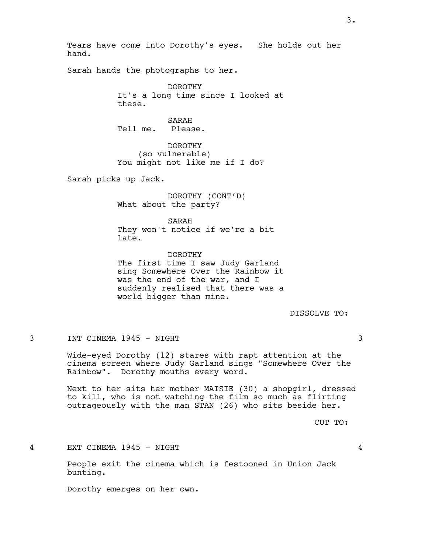Tears have come into Dorothy's eyes. She holds out her hand.

Sarah hands the photographs to her.

DOROTHY It's a long time since I looked at these.

SARAH Tell me. Please.

DOROTHY (so vulnerable) You might not like me if I do?

Sarah picks up Jack.

DOROTHY (CONT'D) What about the party?

SARAH They won't notice if we're a bit late.

DOROTHY The first time I saw Judy Garland sing Somewhere Over the Rainbow it was the end of the war, and I suddenly realised that there was a world bigger than mine.

DISSOLVE TO:

3 INT CINEMA 1945 - NIGHT 3

Wide-eyed Dorothy (12) stares with rapt attention at the cinema screen where Judy Garland sings "Somewhere Over the Rainbow". Dorothy mouths every word.

Next to her sits her mother MAISIE (30) a shopgirl, dressed to kill, who is not watching the film so much as flirting outrageously with the man STAN (26) who sits beside her.

CUT TO:

4 EXT CINEMA 1945 - NIGHT 4

People exit the cinema which is festooned in Union Jack bunting.

Dorothy emerges on her own.

3.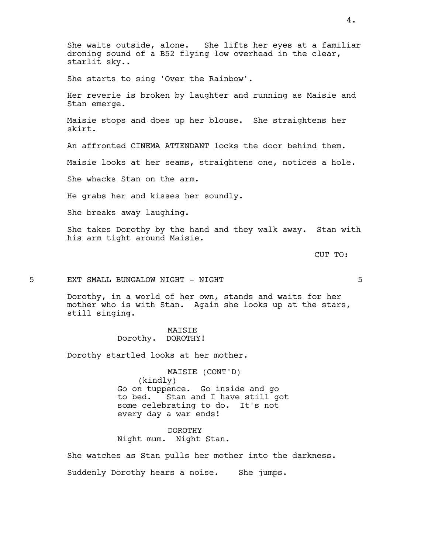She waits outside, alone. She lifts her eyes at a familiar droning sound of a B52 flying low overhead in the clear, starlit sky..

She starts to sing 'Over the Rainbow'.

Her reverie is broken by laughter and running as Maisie and Stan emerge.

Maisie stops and does up her blouse. She straightens her skirt.

An affronted CINEMA ATTENDANT locks the door behind them.

Maisie looks at her seams, straightens one, notices a hole.

She whacks Stan on the arm.

He grabs her and kisses her soundly.

She breaks away laughing.

She takes Dorothy by the hand and they walk away. Stan with his arm tight around Maisie.

CUT TO:

5 EXT SMALL BUNGALOW NIGHT - NIGHT 5

Dorothy, in a world of her own, stands and waits for her mother who is with Stan. Again she looks up at the stars, still singing.

> MAISIE Dorothy. DOROTHY!

Dorothy startled looks at her mother.

MAISIE (CONT'D) (kindly) Go on tuppence. Go inside and go to bed. Stan and I have still got some celebrating to do. It's not every day a war ends!

DOROTHY Night mum. Night Stan.

She watches as Stan pulls her mother into the darkness. Suddenly Dorothy hears a noise. She jumps.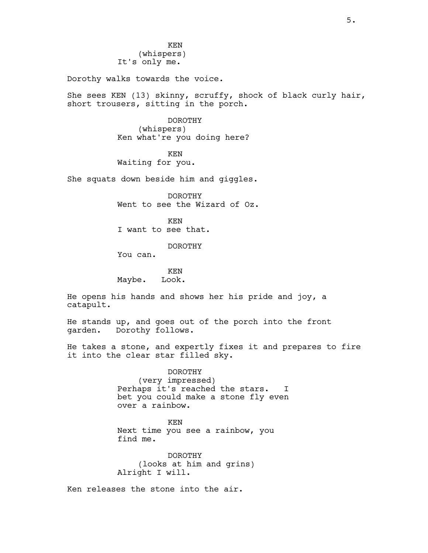KEN (whispers) It's only me.

Dorothy walks towards the voice.

She sees KEN (13) skinny, scruffy, shock of black curly hair, short trousers, sitting in the porch.

> DOROTHY (whispers) Ken what're you doing here?

KEN Waiting for you.

She squats down beside him and giggles.

DOROTHY Went to see the Wizard of Oz.

KEN I want to see that.

DOROTHY

You can.

KEN Maybe. Look.

He opens his hands and shows her his pride and joy, a catapult.

He stands up, and goes out of the porch into the front garden. Dorothy follows.

He takes a stone, and expertly fixes it and prepares to fire it into the clear star filled sky.

> DOROTHY (very impressed) Perhaps it's reached the stars. I bet you could make a stone fly even over a rainbow.

KEN Next time you see a rainbow, you find me.

DOROTHY (looks at him and grins) Alright I will.

Ken releases the stone into the air.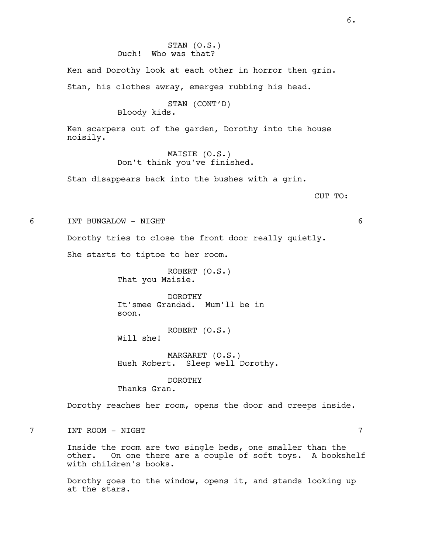STAN (O.S.) Ouch! Who was that?

Ken and Dorothy look at each other in horror then grin. Stan, his clothes awray, emerges rubbing his head.

> STAN (CONT'D) Bloody kids.

Ken scarpers out of the garden, Dorothy into the house noisily.

> MAISIE (O.S.) Don't think you've finished.

Stan disappears back into the bushes with a grin.

CUT TO:

6 INT BUNGALOW - NIGHT 6

Dorothy tries to close the front door really quietly.

She starts to tiptoe to her room.

ROBERT (O.S.) That you Maisie.

DOROTHY It'smee Grandad. Mum'll be in soon.

ROBERT (O.S.) Will she!

MARGARET (O.S.) Hush Robert. Sleep well Dorothy.

DOROTHY Thanks Gran.

Dorothy reaches her room, opens the door and creeps inside.

7 INT ROOM - NIGHT 7

Inside the room are two single beds, one smaller than the other. On one there are a couple of soft toys. A bookshelf with children's books.

Dorothy goes to the window, opens it, and stands looking up at the stars.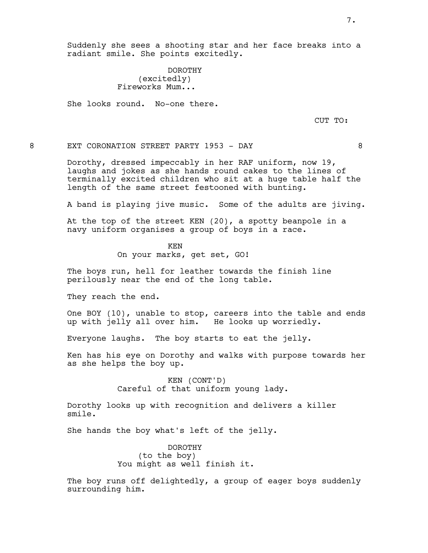DOROTHY (excitedly) Fireworks Mum...

She looks round. No-one there.

CUT TO:

## 8 EXT CORONATION STREET PARTY 1953 - DAY 88

Dorothy, dressed impeccably in her RAF uniform, now 19, laughs and jokes as she hands round cakes to the lines of terminally excited children who sit at a huge table half the length of the same street festooned with bunting.

A band is playing jive music. Some of the adults are jiving.

At the top of the street KEN (20), a spotty beanpole in a navy uniform organises a group of boys in a race.

> KEN On your marks, get set, GO!

The boys run, hell for leather towards the finish line perilously near the end of the long table.

They reach the end.

One BOY (10), unable to stop, careers into the table and ends up with jelly all over him. He looks up worriedly.

Everyone laughs. The boy starts to eat the jelly.

Ken has his eye on Dorothy and walks with purpose towards her as she helps the boy up.

> KEN (CONT'D) Careful of that uniform young lady.

Dorothy looks up with recognition and delivers a killer smile.

She hands the boy what's left of the jelly.

DOROTHY (to the boy) You might as well finish it.

The boy runs off delightedly, a group of eager boys suddenly surrounding him.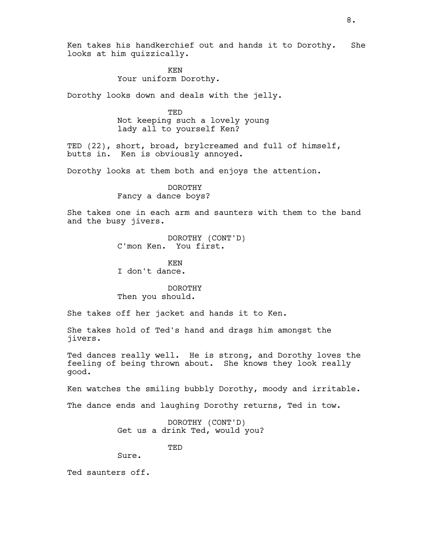Ken takes his handkerchief out and hands it to Dorothy. She looks at him quizzically.

> KEN Your uniform Dorothy.

Dorothy looks down and deals with the jelly.

TED Not keeping such a lovely young lady all to yourself Ken?

TED (22), short, broad, brylcreamed and full of himself, butts in. Ken is obviously annoyed.

Dorothy looks at them both and enjoys the attention.

DOROTHY Fancy a dance boys?

She takes one in each arm and saunters with them to the band and the busy jivers.

> DOROTHY (CONT'D) C'mon Ken. You first.

KEN

I don't dance.

DOROTHY Then you should.

She takes off her jacket and hands it to Ken.

She takes hold of Ted's hand and drags him amongst the jivers.

Ted dances really well. He is strong, and Dorothy loves the feeling of being thrown about. She knows they look really good.

Ken watches the smiling bubbly Dorothy, moody and irritable.

The dance ends and laughing Dorothy returns, Ted in tow.

DOROTHY (CONT'D) Get us a drink Ted, would you?

TED

Sure.

Ted saunters off.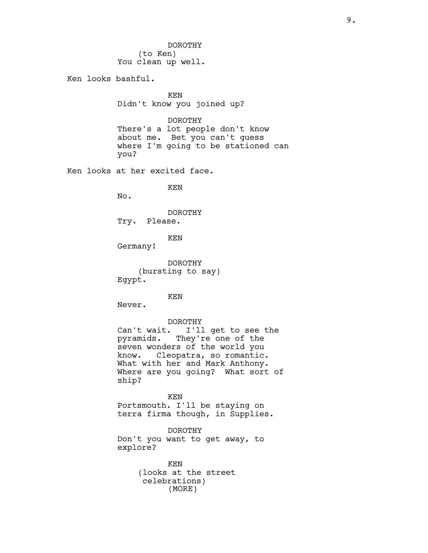DOROTHY (to Ken) You clean up well.

Ken looks bashful.

KEN Didn't know you joined up?

DOROTHY

There's a lot people don't know about me. Bet you can't guess where I'm going to be stationed can you?

Ken looks at her excited face.

KEN

No.

DOROTHY Try. Please.

KEN

Germany!

DOROTHY (bursting to say) Egypt.

KEN

Never.

#### DOROTHY

Can't wait. I'll get to see the pyramids. They're one of the seven wonders of the world you know. Cleopatra, so romantic. What with her and Mark Anthony. Where are you going? What sort of ship?

KEN Portsmouth. I'll be staying on terra firma though, in Supplies.

DOROTHY Don't you want to get away, to explore?

> KEN (looks at the street celebrations) (MORE)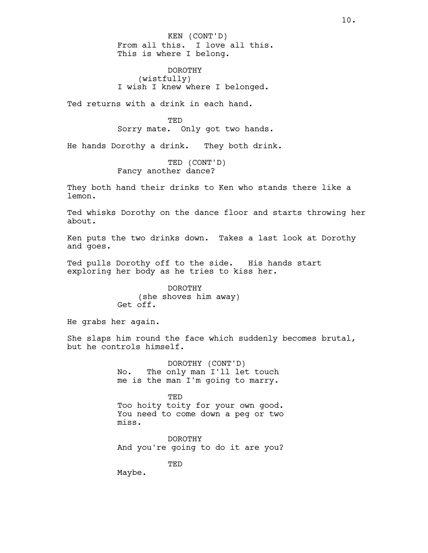From all this. I love all this. This is where I belong. KEN (CONT'D)

DOROTHY (wistfully) I wish I knew where I belonged.

Ted returns with a drink in each hand.

**TED** Sorry mate. Only got two hands.

He hands Dorothy a drink. They both drink.

TED (CONT'D) Fancy another dance?

They both hand their drinks to Ken who stands there like a lemon.

Ted whisks Dorothy on the dance floor and starts throwing her about.

Ken puts the two drinks down. Takes a last look at Dorothy and goes.

Ted pulls Dorothy off to the side. His hands start exploring her body as he tries to kiss her.

> DOROTHY (she shoves him away) Get off.

He grabs her again.

She slaps him round the face which suddenly becomes brutal, but he controls himself.

> DOROTHY (CONT'D) No. The only man I'll let touch me is the man I'm going to marry.

TED Too hoity toity for your own good. You need to come down a peg or two miss.

DOROTHY And you're going to do it are you?

TED

Maybe.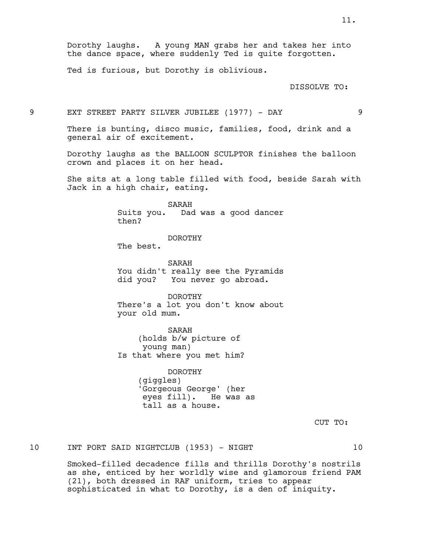Dorothy laughs. A young MAN grabs her and takes her into the dance space, where suddenly Ted is quite forgotten.

Ted is furious, but Dorothy is oblivious.

DISSOLVE TO:

9 EXT STREET PARTY SILVER JUBILEE (1977) - DAY 9

There is bunting, disco music, families, food, drink and a general air of excitement.

Dorothy laughs as the BALLOON SCULPTOR finishes the balloon crown and places it on her head.

She sits at a long table filled with food, beside Sarah with Jack in a high chair, eating.

> SARAH Suits you. Dad was a good dancer then?

## DOROTHY

The best.

SARAH You didn't really see the Pyramids did you? You never go abroad.

DOROTHY There's a lot you don't know about your old mum.

SARAH (holds b/w picture of young man) Is that where you met him?

> DOROTHY (giggles) 'Gorgeous George' (her eyes fill). He was as tall as a house.

> > CUT TO:

10 INT PORT SAID NIGHTCLUB (1953) - NIGHT 10

Smoked-filled decadence fills and thrills Dorothy's nostrils as she, enticed by her worldly wise and glamorous friend PAM (21), both dressed in RAF uniform, tries to appear sophisticated in what to Dorothy, is a den of iniquity.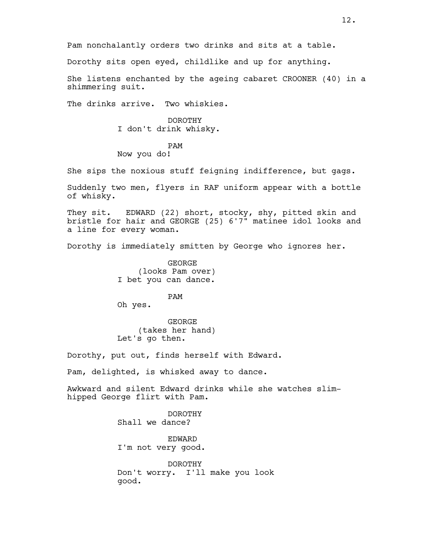Pam nonchalantly orders two drinks and sits at a table.

Dorothy sits open eyed, childlike and up for anything.

She listens enchanted by the ageing cabaret CROONER (40) in a shimmering suit.

The drinks arrive. Two whiskies.

## DOROTHY I don't drink whisky.

## PAM

## Now you do!

She sips the noxious stuff feigning indifference, but gags.

Suddenly two men, flyers in RAF uniform appear with a bottle of whisky.

They sit. EDWARD (22) short, stocky, shy, pitted skin and bristle for hair and GEORGE (25) 6'7" matinee idol looks and a line for every woman.

Dorothy is immediately smitten by George who ignores her.

GEORGE (looks Pam over) I bet you can dance.

PAM

Oh yes.

GEORGE (takes her hand) Let's go then.

Dorothy, put out, finds herself with Edward.

Pam, delighted, is whisked away to dance.

Awkward and silent Edward drinks while she watches slimhipped George flirt with Pam.

> DOROTHY Shall we dance?

EDWARD I'm not very good.

DOROTHY Don't worry. I'll make you look good.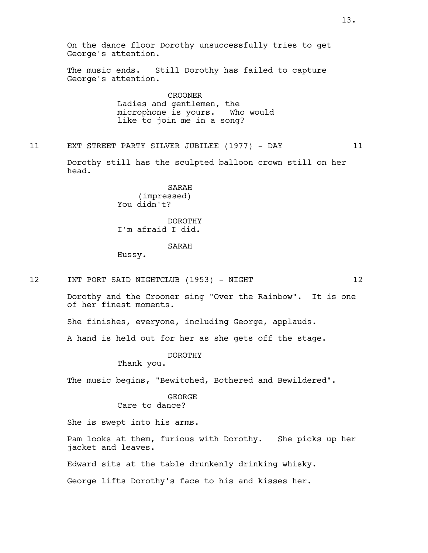On the dance floor Dorothy unsuccessfully tries to get George's attention. The music ends. Still Dorothy has failed to capture George's attention. CROONER Ladies and gentlemen, the microphone is yours. Who would like to join me in a song? 11 EXT STREET PARTY SILVER JUBILEE (1977) - DAY 11 Dorothy still has the sculpted balloon crown still on her head. SARAH (impressed) You didn't? DOROTHY I'm afraid I did. SARAH Hussy. 12 INT PORT SAID NIGHTCLUB (1953) - NIGHT 12 Dorothy and the Crooner sing "Over the Rainbow". It is one of her finest moments. She finishes, everyone, including George, applauds. A hand is held out for her as she gets off the stage. DOROTHY Thank you. The music begins, "Bewitched, Bothered and Bewildered". GEORGE Care to dance? She is swept into his arms. Pam looks at them, furious with Dorothy. She picks up her

Edward sits at the table drunkenly drinking whisky.

jacket and leaves.

George lifts Dorothy's face to his and kisses her.

13.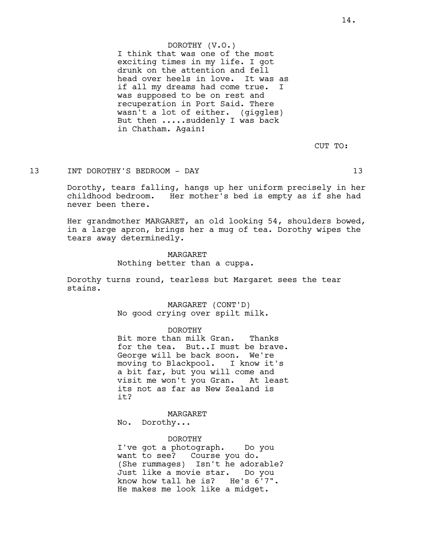## DOROTHY (V.O.)

I think that was one of the most exciting times in my life. I got drunk on the attention and fell head over heels in love. It was as if all my dreams had come true. I was supposed to be on rest and recuperation in Port Said. There wasn't a lot of either. (giggles) But then .....suddenly I was back in Chatham. Again!

CUT TO:

## 13 INT DOROTHY'S BEDROOM - DAY 13

Dorothy, tears falling, hangs up her uniform precisely in her childhood bedroom. Her mother's bed is empty as if she had never been there.

Her grandmother MARGARET, an old looking 54, shoulders bowed, in a large apron, brings her a mug of tea. Dorothy wipes the tears away determinedly.

> MARGARET Nothing better than a cuppa.

Dorothy turns round, tearless but Margaret sees the tear stains.

> MARGARET (CONT'D) No good crying over spilt milk.

> > DOROTHY

Bit more than milk Gran. Thanks for the tea. But..I must be brave. George will be back soon. We're moving to Blackpool. I know it's a bit far, but you will come and visit me won't you Gran. At least its not as far as New Zealand is it?

MARGARET No. Dorothy...

DOROTHY

I've got a photograph. Do you want to see? Course you do. (She rummages) Isn't he adorable? Just like a movie star. Do you know how tall he is? He's 6'7". He makes me look like a midget.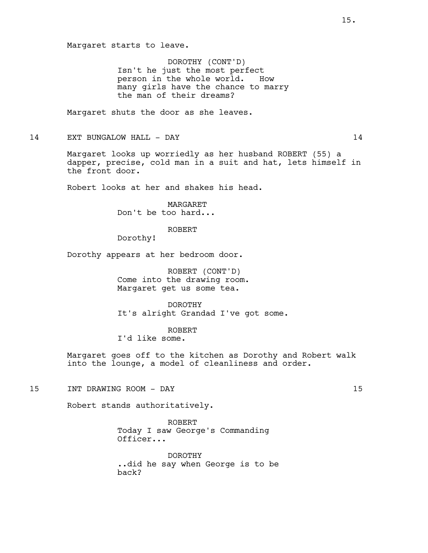DOROTHY (CONT'D) Isn't he just the most perfect person in the whole world. How many girls have the chance to marry the man of their dreams?

Margaret shuts the door as she leaves.

14 EXT BUNGALOW HALL - DAY 14

Margaret looks up worriedly as her husband ROBERT (55) a dapper, precise, cold man in a suit and hat, lets himself in the front door.

Robert looks at her and shakes his head.

MARGARET Don't be too hard...

ROBERT

Dorothy!

Dorothy appears at her bedroom door.

ROBERT (CONT'D) Come into the drawing room. Margaret get us some tea.

DOROTHY It's alright Grandad I've got some.

ROBERT

I'd like some.

Margaret goes off to the kitchen as Dorothy and Robert walk into the lounge, a model of cleanliness and order.

15 INT DRAWING ROOM - DAY 15

Robert stands authoritatively.

ROBERT Today I saw George's Commanding Officer...

DOROTHY ..did he say when George is to be back?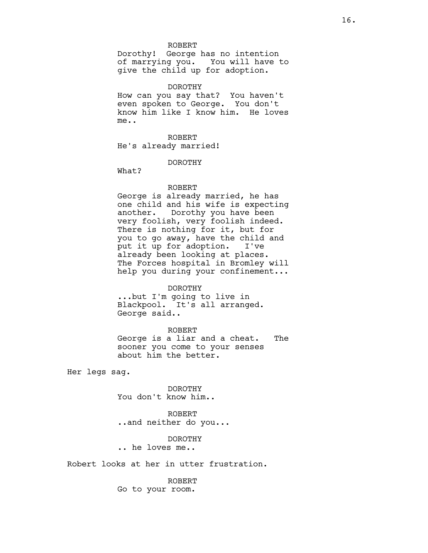Dorothy! George has no intention of marrying you. You will have to give the child up for adoption.

DOROTHY

How can you say that? You haven't even spoken to George. You don't know him like I know him. He loves me..

ROBERT He's already married!

DOROTHY

What?

#### ROBERT

George is already married, he has one child and his wife is expecting another. Dorothy you have been very foolish, very foolish indeed. There is nothing for it, but for you to go away, have the child and put it up for adoption. I've already been looking at places. The Forces hospital in Bromley will help you during your confinement...

#### DOROTHY

...but I'm going to live in Blackpool. It's all arranged. George said..

## ROBERT

George is a liar and a cheat. The sooner you come to your senses about him the better.

Her legs sag.

DOROTHY You don't know him..

ROBERT ..and neither do you...

## DOROTHY

.. he loves me..

Robert looks at her in utter frustration.

#### ROBERT

Go to your room.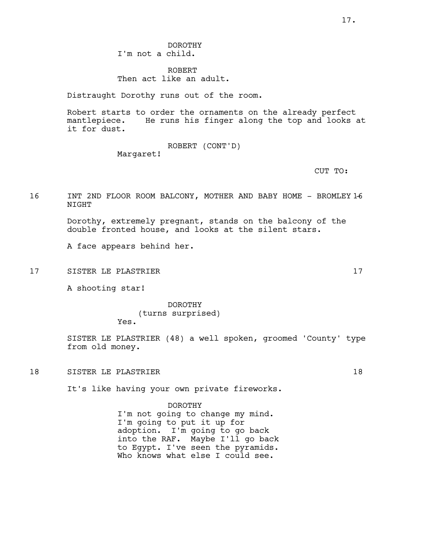DOROTHY I'm not a child.

ROBERT Then act like an adult.

Distraught Dorothy runs out of the room.

Robert starts to order the ornaments on the already perfect mantlepiece. He runs his finger along the top and looks at it for dust.

> ROBERT (CONT'D) Margaret!

> > CUT TO:

16 INT 2ND FLOOR ROOM BALCONY, MOTHER AND BABY HOME - BROMLEY 1-6 NIGHT

> Dorothy, extremely pregnant, stands on the balcony of the double fronted house, and looks at the silent stars.

A face appears behind her.

17 SISTER LE PLASTRIER 17

A shooting star!

DOROTHY (turns surprised) Yes.

SISTER LE PLASTRIER (48) a well spoken, groomed 'County' type from old money.

18 SISTER LE PLASTRIER 18 18

It's like having your own private fireworks.

DOROTHY I'm not going to change my mind. I'm going to put it up for adoption. I'm going to go back into the RAF. Maybe I'll go back to Egypt. I've seen the pyramids. Who knows what else I could see.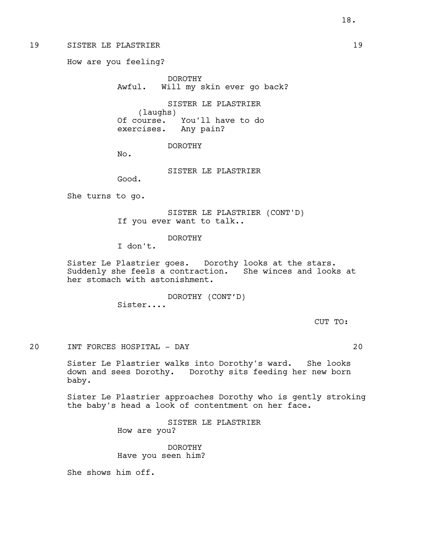19 SISTER LE PLASTRIER 19 and 19

How are you feeling?

DOROTHY Awful. Will my skin ever go back?

SISTER LE PLASTRIER (laughs) Of course. You'll have to do exercises. Any pain?

DOROTHY

No.

SISTER LE PLASTRIER

Good.

She turns to go.

SISTER LE PLASTRIER (CONT'D) If you ever want to talk..

DOROTHY

I don't.

Sister Le Plastrier goes. Dorothy looks at the stars. Suddenly she feels a contraction. She winces and looks at her stomach with astonishment.

> DOROTHY (CONT'D) Sister....

> > CUT TO:

20 INT FORCES HOSPITAL - DAY 20

Sister Le Plastrier walks into Dorothy's ward. She looks down and sees Dorothy. Dorothy sits feeding her new born baby.

Sister Le Plastrier approaches Dorothy who is gently stroking the baby's head a look of contentment on her face.

> SISTER LE PLASTRIER How are you?

DOROTHY Have you seen him?

She shows him off.

18.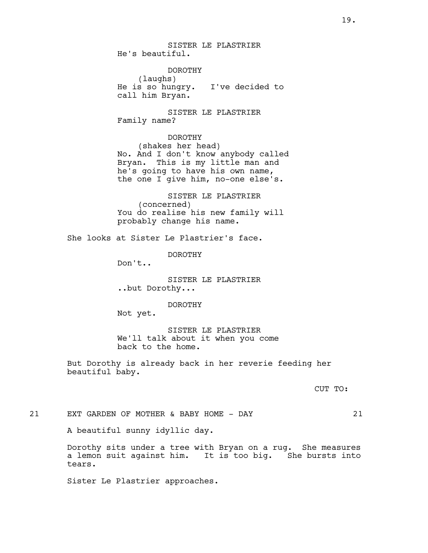SISTER LE PLASTRIER He's beautiful.

DOROTHY (laughs) He is so hungry. I've decided to call him Bryan.

SISTER LE PLASTRIER Family name?

DOROTHY (shakes her head) No. And I don't know anybody called

Bryan. This is my little man and he's going to have his own name, the one I give him, no-one else's.

SISTER LE PLASTRIER (concerned) You do realise his new family will probably change his name.

She looks at Sister Le Plastrier's face.

DOROTHY

Don't..

SISTER LE PLASTRIER ..but Dorothy...

DOROTHY

Not yet.

SISTER LE PLASTRIER We'll talk about it when you come back to the home.

But Dorothy is already back in her reverie feeding her beautiful baby.

CUT TO:

21 EXT GARDEN OF MOTHER & BABY HOME - DAY 21

A beautiful sunny idyllic day.

Dorothy sits under a tree with Bryan on a rug. She measures a lemon suit against him. It is too big. She bursts into tears.

Sister Le Plastrier approaches.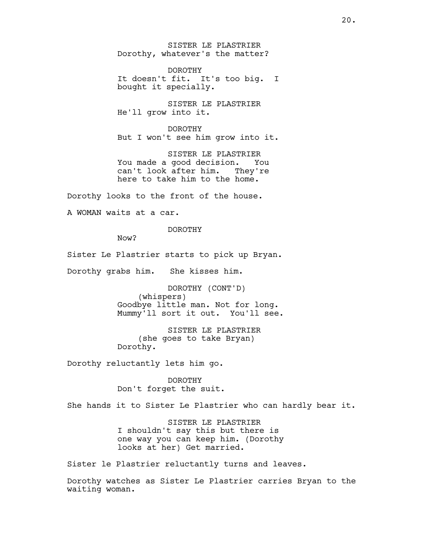SISTER LE PLASTRIER Dorothy, whatever's the matter?

DOROTHY It doesn't fit. It's too big. I bought it specially.

SISTER LE PLASTRIER He'll grow into it.

DOROTHY But I won't see him grow into it.

SISTER LE PLASTRIER You made a good decision. You can't look after him. They're here to take him to the home.

Dorothy looks to the front of the house.

A WOMAN waits at a car.

DOROTHY

Now?

Sister Le Plastrier starts to pick up Bryan.

Dorothy grabs him. She kisses him.

DOROTHY (CONT'D) (whispers) Goodbye little man. Not for long. Mummy'll sort it out. You'll see.

SISTER LE PLASTRIER (she goes to take Bryan) Dorothy.

Dorothy reluctantly lets him go.

DOROTHY Don't forget the suit.

She hands it to Sister Le Plastrier who can hardly bear it.

SISTER LE PLASTRIER I shouldn't say this but there is one way you can keep him. (Dorothy looks at her) Get married.

Sister le Plastrier reluctantly turns and leaves.

Dorothy watches as Sister Le Plastrier carries Bryan to the waiting woman.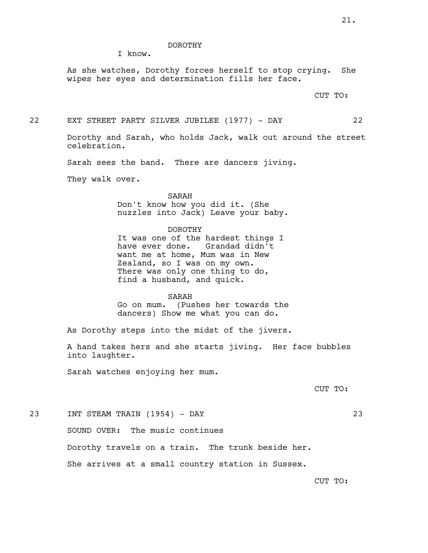### DOROTHY

I know.

As she watches, Dorothy forces herself to stop crying. She wipes her eyes and determination fills her face.

CUT TO:

22 EXT STREET PARTY SILVER JUBILEE (1977) - DAY 22

Dorothy and Sarah, who holds Jack, walk out around the street celebration.

Sarah sees the band. There are dancers jiving.

They walk over.

SARAH Don't know how you did it. (She nuzzles into Jack) Leave your baby.

#### DOROTHY

It was one of the hardest things I have ever done. Grandad didn't want me at home, Mum was in New Zealand, so I was on my own. There was only one thing to do, find a husband, and quick.

#### SARAH

Go on mum. (Pushes her towards the dancers) Show me what you can do.

As Dorothy steps into the midst of the jivers.

A hand takes hers and she starts jiving. Her face bubbles into laughter.

Sarah watches enjoying her mum.

CUT TO:

23 INT STEAM TRAIN (1954) - DAY 23

SOUND OVER: The music continues Dorothy travels on a train. The trunk beside her. She arrives at a small country station in Sussex.

CUT TO: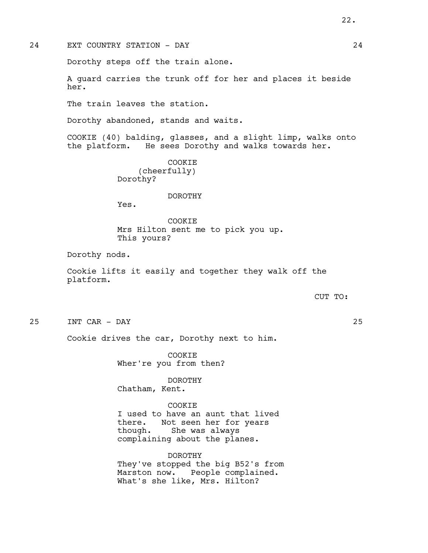Dorothy steps off the train alone.

A guard carries the trunk off for her and places it beside her.

The train leaves the station.

Dorothy abandoned, stands and waits.

COOKIE (40) balding, glasses, and a slight limp, walks onto the platform. He sees Dorothy and walks towards her.

> COOKIE (cheerfully) Dorothy?

## DOROTHY

Yes.

COOKIE Mrs Hilton sent me to pick you up. This yours?

Dorothy nods.

Cookie lifts it easily and together they walk off the platform.

#### CUT TO:

25 INT CAR - DAY 25

Cookie drives the car, Dorothy next to him.

COOKIE Wher're you from then?

DOROTHY Chatham, Kent.

COOKIE I used to have an aunt that lived there. Not seen her for years though. She was always complaining about the planes.

DOROTHY They've stopped the big B52's from Marston now. People complained. What's she like, Mrs. Hilton?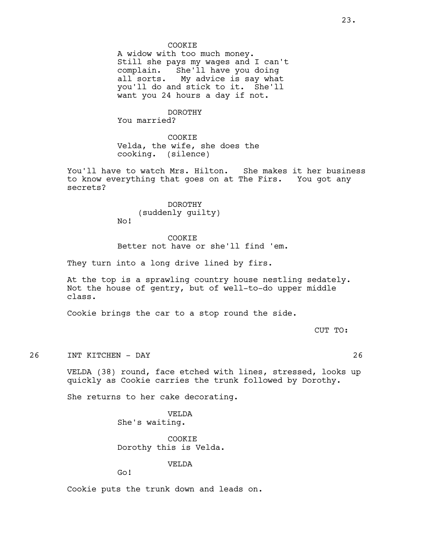### COOKIE

A widow with too much money. Still she pays my wages and I can't complain. She'll have you doing all sorts. My advice is say what you'll do and stick to it. She'll want you 24 hours a day if not.

## DOROTHY

You married?

COOKIE Velda, the wife, she does the cooking. (silence)

You'll have to watch Mrs. Hilton. She makes it her business to know everything that goes on at The Firs. You got any secrets?

> DOROTHY (suddenly guilty)

No!

### COOKIE

Better not have or she'll find 'em.

They turn into a long drive lined by firs.

At the top is a sprawling country house nestling sedately. Not the house of gentry, but of well-to-do upper middle class.

Cookie brings the car to a stop round the side.

CUT TO:

26 INT KITCHEN - DAY 26

VELDA (38) round, face etched with lines, stressed, looks up quickly as Cookie carries the trunk followed by Dorothy.

She returns to her cake decorating.

VELDA She's waiting.

COOKIE Dorothy this is Velda.

## VELDA

Go!

Cookie puts the trunk down and leads on.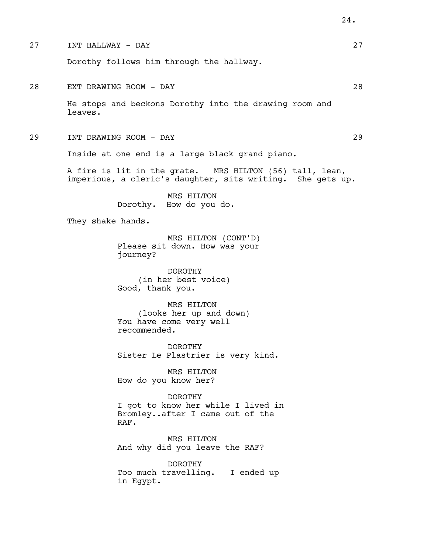27 INT HALLWAY - DAY 27 Dorothy follows him through the hallway. 28 EXT DRAWING ROOM - DAY 28 He stops and beckons Dorothy into the drawing room and leaves. 29 INT DRAWING ROOM - DAY 29 Inside at one end is a large black grand piano. A fire is lit in the grate. MRS HILTON (56) tall, lean, imperious, a cleric's daughter, sits writing. She gets up. MRS HILTON Dorothy. How do you do. They shake hands. MRS HILTON (CONT'D) Please sit down. How was your journey? DOROTHY (in her best voice) Good, thank you. MRS HILTON (looks her up and down) You have come very well recommended. DOROTHY Sister Le Plastrier is very kind. MRS HILTON How do you know her? DOROTHY I got to know her while I lived in Bromley..after I came out of the RAF. MRS HILTON And why did you leave the RAF? DOROTHY Too much travelling. I ended up in Egypt.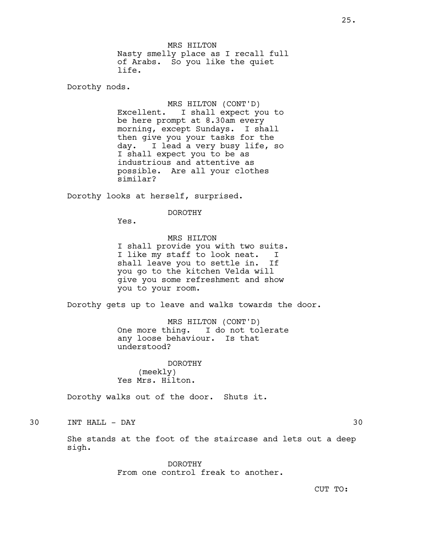MRS HILTON Nasty smelly place as I recall full of Arabs. So you like the quiet life.

Dorothy nods.

MRS HILTON (CONT'D) Excellent. I shall expect you to be here prompt at 8.30am every morning, except Sundays. I shall then give you your tasks for the day. I lead a very busy life, so I shall expect you to be as industrious and attentive as possible. Are all your clothes similar?

Dorothy looks at herself, surprised.

#### DOROTHY

Yes.

## MRS HILTON

I shall provide you with two suits. I like my staff to look neat. I shall leave you to settle in. If you go to the kitchen Velda will give you some refreshment and show you to your room.

Dorothy gets up to leave and walks towards the door.

MRS HILTON (CONT'D) One more thing. I do not tolerate any loose behaviour. Is that understood?

DOROTHY (meekly) Yes Mrs. Hilton.

Dorothy walks out of the door. Shuts it.

## 30 INT HALL - DAY 30

She stands at the foot of the staircase and lets out a deep sigh.

> DOROTHY From one control freak to another.

CUT TO: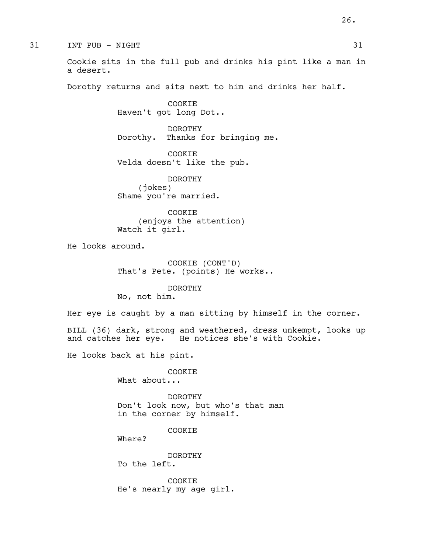Cookie sits in the full pub and drinks his pint like a man in a desert.

Dorothy returns and sits next to him and drinks her half.

COOKIE Haven't got long Dot..

DOROTHY Dorothy. Thanks for bringing me.

COOKIE Velda doesn't like the pub.

DOROTHY (jokes) Shame you're married.

COOKIE (enjoys the attention) Watch it girl.

He looks around.

COOKIE (CONT'D) That's Pete. (points) He works..

DOROTHY No, not him.

Her eye is caught by a man sitting by himself in the corner.

BILL (36) dark, strong and weathered, dress unkempt, looks up and catches her eye. He notices she's with Cookie. He notices she's with Cookie.

He looks back at his pint.

COOKIE What about...

DOROTHY Don't look now, but who's that man in the corner by himself.

COOKIE

Where?

DOROTHY To the left.

COOKIE He's nearly my age girl.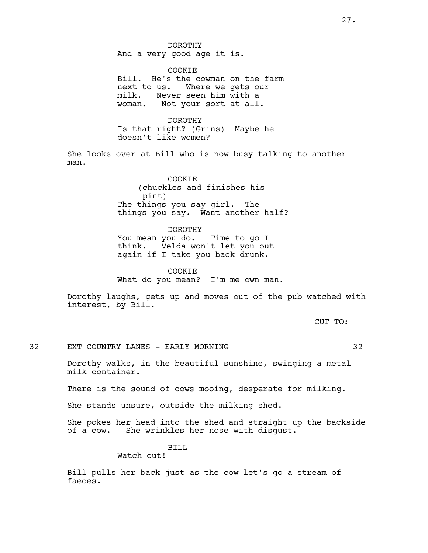DOROTHY And a very good age it is.

COOKIE Bill. He's the cowman on the farm next to us. Where we gets our milk. Never seen him with a woman. Not your sort at all.

DOROTHY Is that right? (Grins) Maybe he doesn't like women?

She looks over at Bill who is now busy talking to another man.

> **COOKTE** (chuckles and finishes his pint) The things you say girl. The things you say. Want another half?

#### DOROTHY

You mean you do. Time to go I think. Velda won't let you out again if I take you back drunk.

#### COOKIE

What do you mean? I'm me own man.

Dorothy laughs, gets up and moves out of the pub watched with interest, by Bill.

CUT TO:

## 32 EXT COUNTRY LANES - EARLY MORNING 32

Dorothy walks, in the beautiful sunshine, swinging a metal milk container.

There is the sound of cows mooing, desperate for milking.

She stands unsure, outside the milking shed.

She pokes her head into the shed and straight up the backside of a cow. She wrinkles her nose with disgust.

#### BILL

## Watch out!

Bill pulls her back just as the cow let's go a stream of faeces.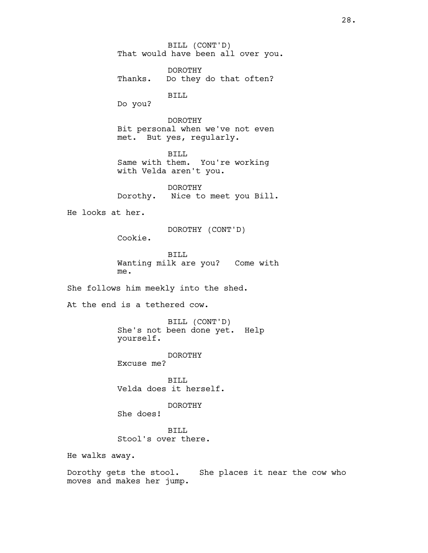BILL (CONT'D) That would have been all over you. DOROTHY Thanks. Do they do that often? BILL Do you? DOROTHY Bit personal when we've not even met. But yes, regularly. BILL Same with them. You're working with Velda aren't you. DOROTHY Dorothy. Nice to meet you Bill. He looks at her. DOROTHY (CONT'D) Cookie. BILL Wanting milk are you? Come with me. She follows him meekly into the shed. At the end is a tethered cow. BILL (CONT'D) She's not been done yet. Help yourself. DOROTHY Excuse me? BILL Velda does it herself. DOROTHY She does! BILL Stool's over there. He walks away. Dorothy gets the stool. She places it near the cow who moves and makes her jump.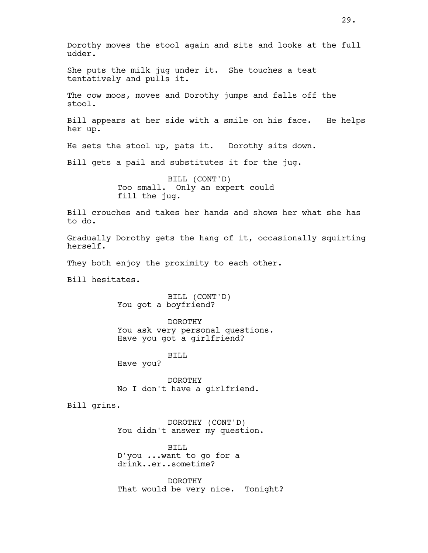Dorothy moves the stool again and sits and looks at the full udder. She puts the milk jug under it. She touches a teat tentatively and pulls it. The cow moos, moves and Dorothy jumps and falls off the stool. Bill appears at her side with a smile on his face. He helps her up. He sets the stool up, pats it. Dorothy sits down. Bill gets a pail and substitutes it for the jug. BILL (CONT'D) Too small. Only an expert could fill the jug. Bill crouches and takes her hands and shows her what she has to do. Gradually Dorothy gets the hang of it, occasionally squirting herself. They both enjoy the proximity to each other. Bill hesitates. BILL (CONT'D) You got a boyfriend? DOROTHY You ask very personal questions. Have you got a girlfriend? BILL Have you? DOROTHY No I don't have a girlfriend. Bill grins. DOROTHY (CONT'D) You didn't answer my question. BILL D'you ...want to go for a drink..er..sometime?

> DOROTHY That would be very nice. Tonight?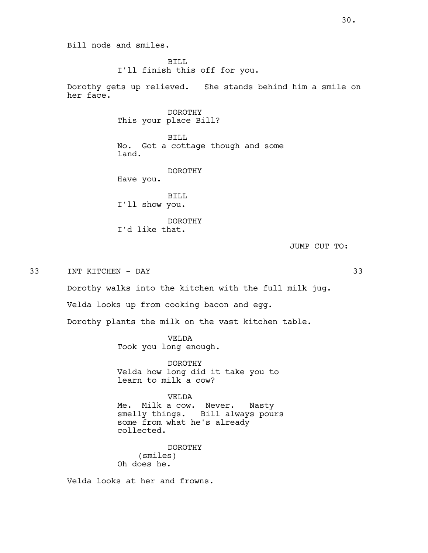BILL I'll finish this off for you.

Dorothy gets up relieved. She stands behind him a smile on her face.

## DOROTHY This your place Bill?

BILL No. Got a cottage though and some land.

## DOROTHY

Have you.

BILL I'll show you.

DOROTHY I'd like that.

JUMP CUT TO:

33 INT KITCHEN - DAY 33

Dorothy walks into the kitchen with the full milk jug.

Velda looks up from cooking bacon and egg.

Dorothy plants the milk on the vast kitchen table.

VELDA Took you long enough.

DOROTHY Velda how long did it take you to learn to milk a cow?

VELDA Me. Milk a cow. Never. Nasty smelly things. Bill always pours some from what he's already collected.

DOROTHY (smiles) Oh does he.

Velda looks at her and frowns.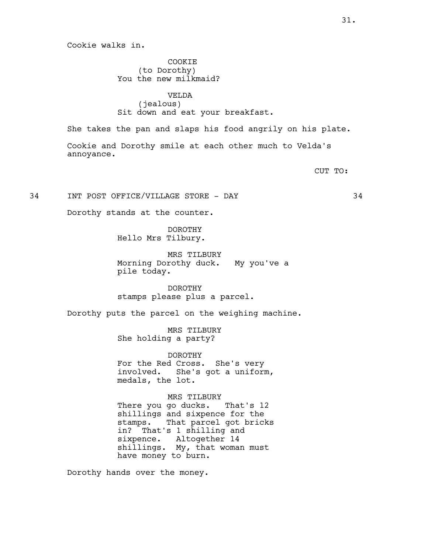Cookie walks in.

COOKIE (to Dorothy) You the new milkmaid?

VELDA (jealous) Sit down and eat your breakfast.

She takes the pan and slaps his food angrily on his plate.

Cookie and Dorothy smile at each other much to Velda's annoyance.

CUT TO:

34 INT POST OFFICE/VILLAGE STORE - DAY 34

Dorothy stands at the counter.

DOROTHY Hello Mrs Tilbury.

MRS TILBURY Morning Dorothy duck. My you've a pile today.

DOROTHY stamps please plus a parcel.

Dorothy puts the parcel on the weighing machine.

MRS TILBURY She holding a party?

DOROTHY For the Red Cross. She's very involved. She's got a uniform, medals, the lot.

MRS TILBURY There you go ducks. That's 12

shillings and sixpence for the stamps. That parcel got bricks in? That's 1 shilling and sixpence. Altogether 14 shillings. My, that woman must have money to burn.

Dorothy hands over the money.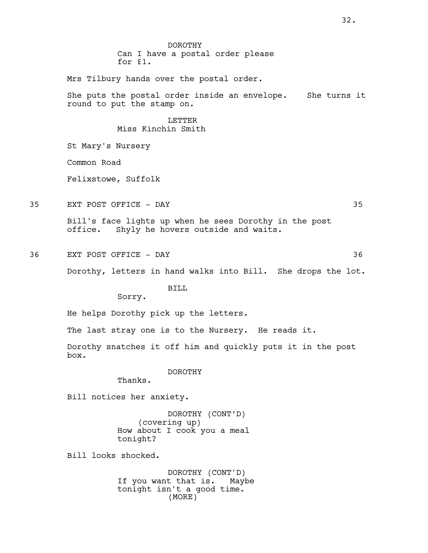DOROTHY Can I have a postal order please for £1.

Mrs Tilbury hands over the postal order.

She puts the postal order inside an envelope. She turns it round to put the stamp on.

## LETTER Miss Kinchin Smith

St Mary's Nursery

Common Road

Felixstowe, Suffolk

35 EXT POST OFFICE - DAY 35

Bill's face lights up when he sees Dorothy in the post office. Shyly he hovers outside and waits.

36 EXT POST OFFICE - DAY 36

Dorothy, letters in hand walks into Bill. She drops the lot.

BILL

Sorry.

He helps Dorothy pick up the letters.

The last stray one is to the Nursery. He reads it.

Dorothy snatches it off him and quickly puts it in the post box.

DOROTHY

Thanks.

Bill notices her anxiety.

DOROTHY (CONT'D) (covering up) How about I cook you a meal tonight?

Bill looks shocked.

DOROTHY (CONT'D) If you want that is. Maybe tonight isn't a good time. (MORE)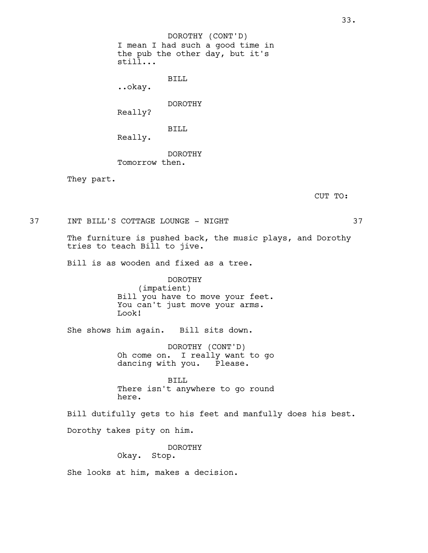I mean I had such a good time in the pub the other day, but it's still... BILL ..okay. DOROTHY (CONT'D)

DOROTHY Really?

BILL

Really.

DOROTHY Tomorrow then.

They part.

CUT TO:

37 INT BILL'S COTTAGE LOUNGE - NIGHT 37

The furniture is pushed back, the music plays, and Dorothy tries to teach Bill to jive.

Bill is as wooden and fixed as a tree.

DOROTHY (impatient) Bill you have to move your feet. You can't just move your arms. Look!

She shows him again. Bill sits down.

DOROTHY (CONT'D) Oh come on. I really want to go dancing with you. Please.

BILL There isn't anywhere to go round here.

Bill dutifully gets to his feet and manfully does his best. Dorothy takes pity on him.

> DOROTHY Okay. Stop.

She looks at him, makes a decision.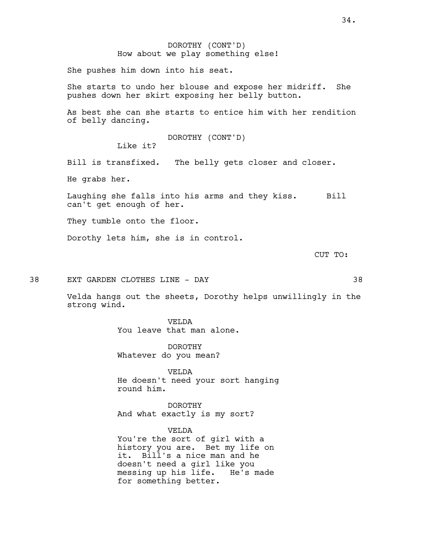She pushes him down into his seat.

She starts to undo her blouse and expose her midriff. She pushes down her skirt exposing her belly button.

As best she can she starts to entice him with her rendition of belly dancing.

DOROTHY (CONT'D)

Like it?

Bill is transfixed. The belly gets closer and closer.

He grabs her.

Laughing she falls into his arms and they kiss. Bill can't get enough of her.

They tumble onto the floor.

Dorothy lets him, she is in control.

CUT TO:

38 EXT GARDEN CLOTHES LINE - DAY 38

Velda hangs out the sheets, Dorothy helps unwillingly in the strong wind.

> VELDA You leave that man alone.

DOROTHY Whatever do you mean?

VELDA He doesn't need your sort hanging round him.

DOROTHY And what exactly is my sort?

VELDA You're the sort of girl with a history you are. Bet my life on it. Bill's a nice man and he doesn't need a girl like you<br>messing up his life. He's made messing up his life. for something better.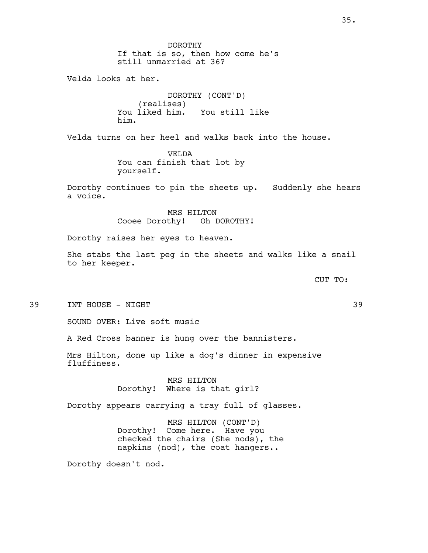DOROTHY If that is so, then how come he's still unmarried at 36? Velda looks at her. DOROTHY (CONT'D) (realises)<br>You liked him. You still like him. Velda turns on her heel and walks back into the house. VELDA You can finish that lot by yourself. Dorothy continues to pin the sheets up. Suddenly she hears a voice. MRS HILTON Cooee Dorothy! Oh DOROTHY! Dorothy raises her eyes to heaven. She stabs the last peg in the sheets and walks like a snail to her keeper. CUT TO: 39 INT HOUSE - NIGHT 39 SOUND OVER: Live soft music A Red Cross banner is hung over the bannisters. Mrs Hilton, done up like a dog's dinner in expensive fluffiness. MRS HILTON Dorothy! Where is that girl? Dorothy appears carrying a tray full of glasses. MRS HILTON (CONT'D) Dorothy! Come here. Have you checked the chairs (She nods), the napkins (nod), the coat hangers..

Dorothy doesn't nod.

35.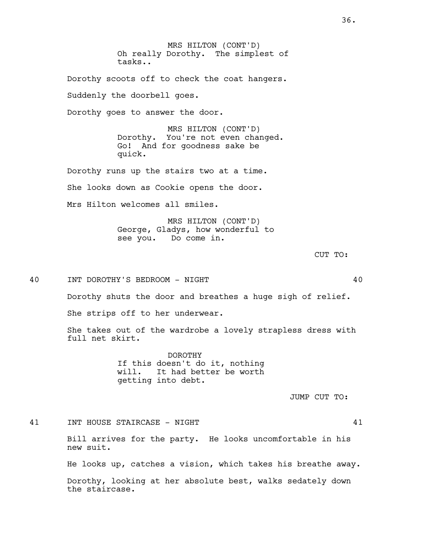MRS HILTON (CONT'D) Oh really Dorothy. The simplest of tasks..

Dorothy scoots off to check the coat hangers. Suddenly the doorbell goes. Dorothy goes to answer the door.

> MRS HILTON (CONT'D) Dorothy. You're not even changed. Go! And for goodness sake be quick.

Dorothy runs up the stairs two at a time. She looks down as Cookie opens the door. Mrs Hilton welcomes all smiles.

> MRS HILTON (CONT'D) George, Gladys, how wonderful to see you. Do come in.

> > CUT TO:

40 INT DOROTHY'S BEDROOM - NIGHT 40

Dorothy shuts the door and breathes a huge sigh of relief.

She strips off to her underwear.

She takes out of the wardrobe a lovely strapless dress with full net skirt.

> DOROTHY If this doesn't do it, nothing will. It had better be worth getting into debt.

> > JUMP CUT TO:

41 INT HOUSE STAIRCASE - NIGHT 41

Bill arrives for the party. He looks uncomfortable in his new suit.

He looks up, catches a vision, which takes his breathe away.

Dorothy, looking at her absolute best, walks sedately down the staircase.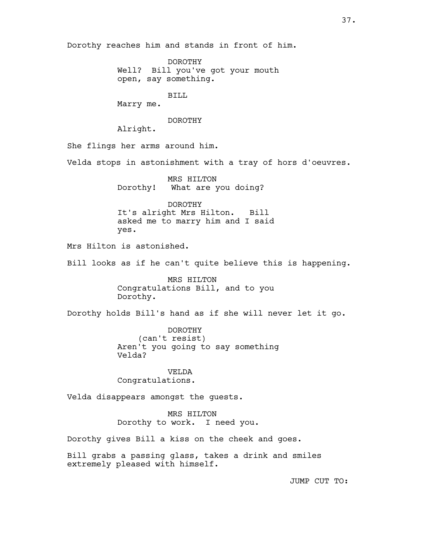Dorothy reaches him and stands in front of him.

DOROTHY Well? Bill you've got your mouth open, say something.

BILL

Marry me.

# DOROTHY

Alright.

She flings her arms around him.

Velda stops in astonishment with a tray of hors d'oeuvres.

MRS HILTON Dorothy! What are you doing?

DOROTHY It's alright Mrs Hilton. Bill asked me to marry him and I said yes.

Mrs Hilton is astonished.

Bill looks as if he can't quite believe this is happening.

MRS HILTON Congratulations Bill, and to you Dorothy.

Dorothy holds Bill's hand as if she will never let it go.

DOROTHY (can't resist) Aren't you going to say something Velda?

VELDA Congratulations.

Velda disappears amongst the guests.

MRS HILTON Dorothy to work. I need you.

Dorothy gives Bill a kiss on the cheek and goes.

Bill grabs a passing glass, takes a drink and smiles extremely pleased with himself.

JUMP CUT TO: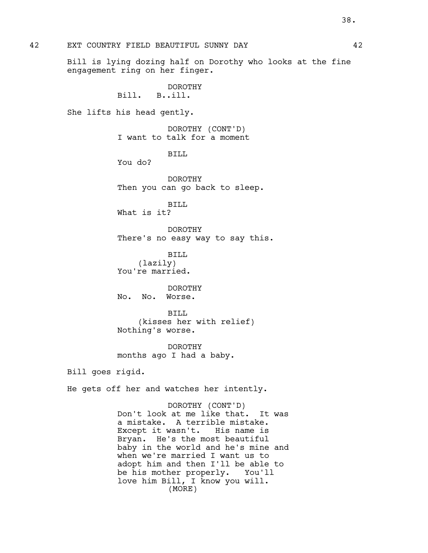Bill is lying dozing half on Dorothy who looks at the fine engagement ring on her finger.

> DOROTHY Bill. B..ill.

She lifts his head gently.

DOROTHY (CONT'D) I want to talk for a moment

BILL

You do?

DOROTHY Then you can go back to sleep.

BILL What is it?

DOROTHY There's no easy way to say this.

BILL (lazily) You're married.

DOROTHY No. No. Worse.

BILL (kisses her with relief) Nothing's worse.

DOROTHY months ago I had a baby.

Bill goes rigid.

He gets off her and watches her intently.

DOROTHY (CONT'D) Don't look at me like that. It was a mistake. A terrible mistake. Except it wasn't. His name is Bryan. He's the most beautiful baby in the world and he's mine and when we're married I want us to adopt him and then I'll be able to be his mother properly. You'll love him Bill, I know you will. (MORE)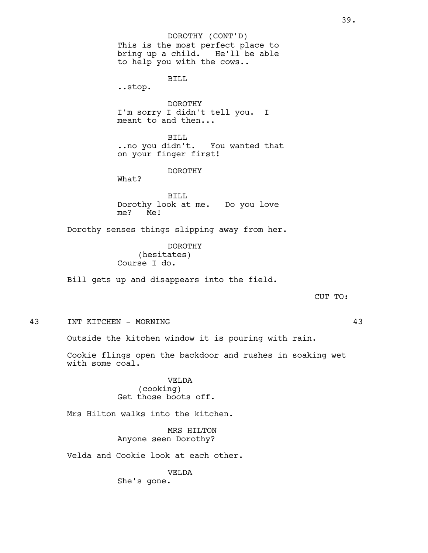This is the most perfect place to bring up a child. He'll be able to help you with the cows.. BILL ..stop. DOROTHY I'm sorry I didn't tell you. I meant to and then... BILL. ..no you didn't. You wanted that on your finger first! DOROTHY What? BILL Dorothy look at me. Do you love me? Me! Dorothy senses things slipping away from her. DOROTHY (hesitates) Course I do. Bill gets up and disappears into the field. CUT TO: 43 INT KITCHEN - MORNING 43 Outside the kitchen window it is pouring with rain. Cookie flings open the backdoor and rushes in soaking wet with some coal. VELDA (cooking) Get those boots off. Mrs Hilton walks into the kitchen. MRS HILTON Anyone seen Dorothy? Velda and Cookie look at each other. VELDA DOROTHY (CONT'D)

She's gone.

39.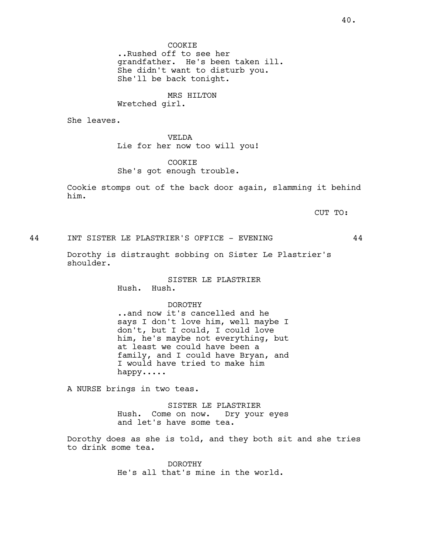MRS HILTON Wretched girl.

She leaves.

VELDA Lie for her now too will you!

COOKIE She's got enough trouble.

Cookie stomps out of the back door again, slamming it behind him.

CUT TO:

44 INT SISTER LE PLASTRIER'S OFFICE - EVENING 44

Dorothy is distraught sobbing on Sister Le Plastrier's shoulder.

> SISTER LE PLASTRIER Hush. Hush.

# DOROTHY

..and now it's cancelled and he says I don't love him, well maybe I don't, but I could, I could love him, he's maybe not everything, but at least we could have been a family, and I could have Bryan, and I would have tried to make him happy.....

A NURSE brings in two teas.

SISTER LE PLASTRIER Hush. Come on now. Dry your eyes and let's have some tea.

Dorothy does as she is told, and they both sit and she tries to drink some tea.

> DOROTHY He's all that's mine in the world.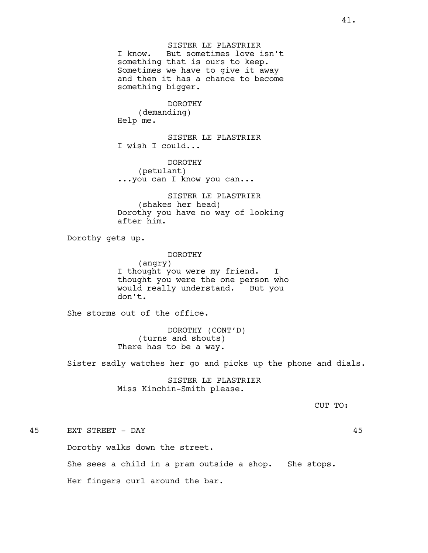SISTER LE PLASTRIER I know. But sometimes love isn't something that is ours to keep. Sometimes we have to give it away and then it has a chance to become something bigger.

# DOROTHY (demanding)

Help me.

SISTER LE PLASTRIER I wish I could...

DOROTHY (petulant) ...you can I know you can...

SISTER LE PLASTRIER (shakes her head) Dorothy you have no way of looking after him.

Dorothy gets up.

#### DOROTHY

(angry) I thought you were my friend. I thought you were the one person who would really understand. But you don't.

She storms out of the office.

DOROTHY (CONT'D) (turns and shouts) There has to be a way.

Sister sadly watches her go and picks up the phone and dials.

SISTER LE PLASTRIER Miss Kinchin-Smith please.

CUT TO:

# 45 EXT STREET - DAY 45

Dorothy walks down the street.

She sees a child in a pram outside a shop. She stops.

Her fingers curl around the bar.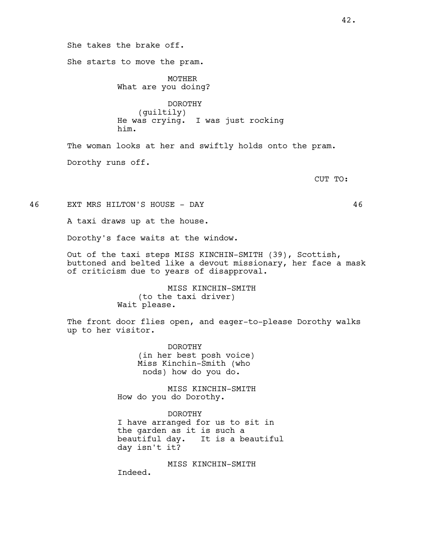She takes the brake off. She starts to move the pram. MOTHER What are you doing? DOROTHY (guiltily) He was crying. I was just rocking him. The woman looks at her and swiftly holds onto the pram. Dorothy runs off.

CUT TO:

46 EXT MRS HILTON'S HOUSE - DAY 46

A taxi draws up at the house.

Dorothy's face waits at the window.

Out of the taxi steps MISS KINCHIN-SMITH (39), Scottish, buttoned and belted like a devout missionary, her face a mask of criticism due to years of disapproval.

> MISS KINCHIN-SMITH (to the taxi driver) Wait please.

The front door flies open, and eager-to-please Dorothy walks up to her visitor.

> DOROTHY (in her best posh voice) Miss Kinchin-Smith (who nods) how do you do.

MISS KINCHIN-SMITH How do you do Dorothy.

DOROTHY I have arranged for us to sit in the garden as it is such a beautiful day. It is a beautiful day isn't it?

MISS KINCHIN-SMITH

Indeed.

42.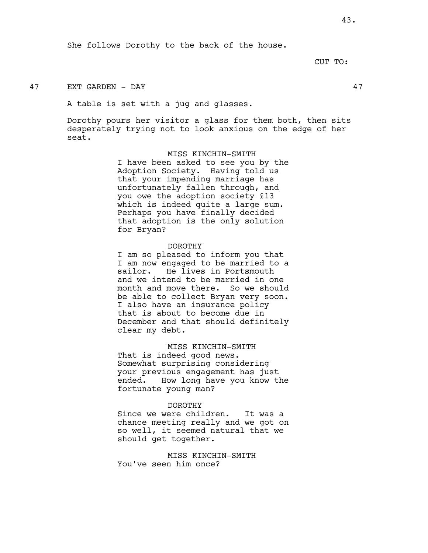She follows Dorothy to the back of the house.

CUT TO:

# 47 EXT GARDEN - DAY 47

A table is set with a jug and glasses.

Dorothy pours her visitor a glass for them both, then sits desperately trying not to look anxious on the edge of her seat.

> MISS KINCHIN-SMITH I have been asked to see you by the Adoption Society. Having told us that your impending marriage has unfortunately fallen through, and you owe the adoption society £13 which is indeed quite a large sum. Perhaps you have finally decided that adoption is the only solution for Bryan?

#### DOROTHY

I am so pleased to inform you that I am now engaged to be married to a sailor. He lives in Portsmouth and we intend to be married in one month and move there. So we should be able to collect Bryan very soon. I also have an insurance policy that is about to become due in December and that should definitely clear my debt.

#### MISS KINCHIN-SMITH

That is indeed good news. Somewhat surprising considering your previous engagement has just ended. How long have you know the fortunate young man?

#### DOROTHY

Since we were children. It was a chance meeting really and we got on so well, it seemed natural that we should get together.

MISS KINCHIN-SMITH You've seen him once?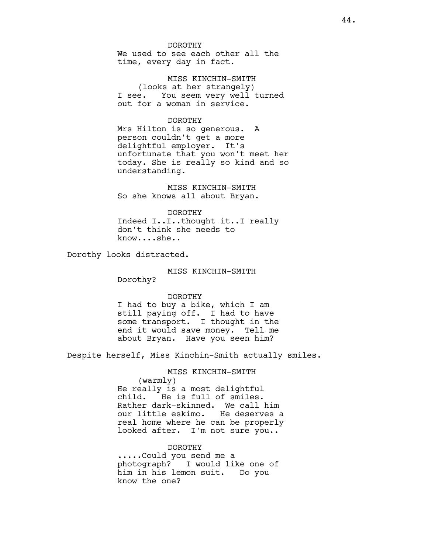DOROTHY

We used to see each other all the time, every day in fact.

MISS KINCHIN-SMITH (looks at her strangely) I see. You seem very well turned out for a woman in service.

#### DOROTHY

Mrs Hilton is so generous. A person couldn't get a more delightful employer. It's unfortunate that you won't meet her today. She is really so kind and so understanding.

MISS KINCHIN-SMITH So she knows all about Bryan.

DOROTHY Indeed I..I..thought it..I really don't think she needs to know....she..

Dorothy looks distracted.

# MISS KINCHIN-SMITH

Dorothy?

#### DOROTHY

I had to buy a bike, which I am still paying off. I had to have some transport. I thought in the end it would save money. Tell me about Bryan. Have you seen him?

Despite herself, Miss Kinchin-Smith actually smiles.

MISS KINCHIN-SMITH

(warmly)

He really is a most delightful child. He is full of smiles. Rather dark-skinned. We call him our little eskimo. He deserves a real home where he can be properly looked after. I'm not sure you..

#### DOROTHY

.....Could you send me a photograph? I would like one of him in his lemon suit. Do you know the one?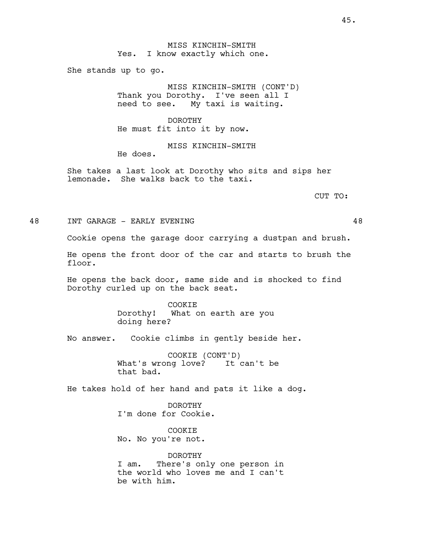MISS KINCHIN-SMITH Yes. I know exactly which one.

She stands up to go.

MISS KINCHIN-SMITH (CONT'D) Thank you Dorothy. I've seen all I need to see. My taxi is waiting.

DOROTHY He must fit into it by now.

MISS KINCHIN-SMITH He does.

She takes a last look at Dorothy who sits and sips her lemonade. She walks back to the taxi.

CUT TO:

48 INT GARAGE - EARLY EVENING 48

Cookie opens the garage door carrying a dustpan and brush.

He opens the front door of the car and starts to brush the floor.

He opens the back door, same side and is shocked to find Dorothy curled up on the back seat.

> COOKIE Dorothy! What on earth are you doing here?

No answer. Cookie climbs in gently beside her.

COOKIE (CONT'D) What's wrong love? It can't be that bad.

He takes hold of her hand and pats it like a dog.

DOROTHY I'm done for Cookie.

COOKIE No. No you're not.

DOROTHY I am. There's only one person in the world who loves me and I can't be with him.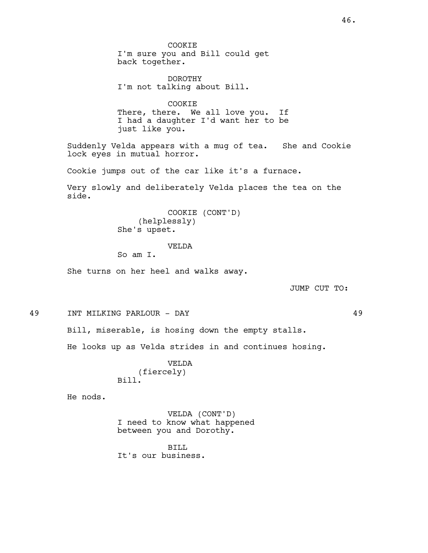COOKIE I'm sure you and Bill could get back together.

DOROTHY I'm not talking about Bill.

COOKIE There, there. We all love you. If I had a daughter I'd want her to be just like you.

Suddenly Velda appears with a mug of tea. She and Cookie lock eyes in mutual horror.

Cookie jumps out of the car like it's a furnace.

Very slowly and deliberately Velda places the tea on the side.

> COOKIE (CONT'D) (helplessly) She's upset.

> > VELDA

So am I.

She turns on her heel and walks away.

JUMP CUT TO:

49 INT MILKING PARLOUR - DAY 49

Bill, miserable, is hosing down the empty stalls.

He looks up as Velda strides in and continues hosing.

VELDA (fiercely) Bill.

He nods.

VELDA (CONT'D) I need to know what happened between you and Dorothy.

BILL It's our business.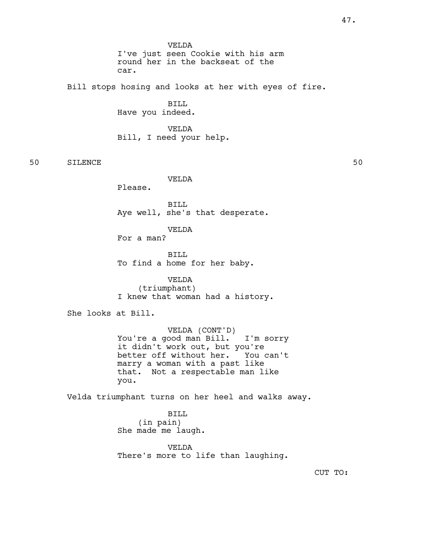VELDA I've just seen Cookie with his arm round her in the backseat of the car.

Bill stops hosing and looks at her with eyes of fire.

BILL Have you indeed.

VELDA Bill, I need your help.

50 SILENCE 50

VELDA

Please.

BILL Aye well, she's that desperate.

VELDA

For a man?

BILL To find a home for her baby.

VELDA (triumphant) I knew that woman had a history.

She looks at Bill.

VELDA (CONT'D) You're a good man Bill. I'm sorry it didn't work out, but you're better off without her. You can't marry a woman with a past like that. Not a respectable man like you.

Velda triumphant turns on her heel and walks away.

BILL (in pain) She made me laugh.

VELDA There's more to life than laughing.

CUT TO: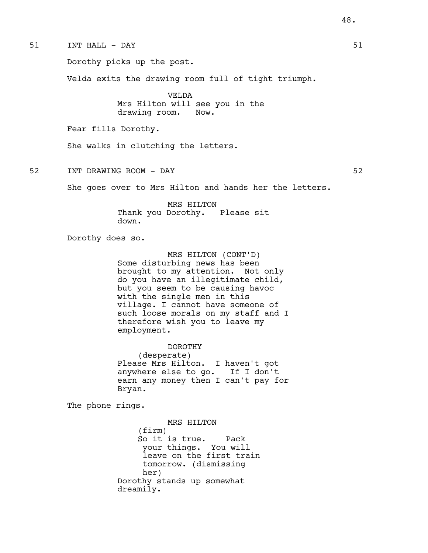51 INT HALL - DAY 51 Dorothy picks up the post. Velda exits the drawing room full of tight triumph. VELDA Mrs Hilton will see you in the drawing room. Now. Fear fills Dorothy. She walks in clutching the letters. 52 INT DRAWING ROOM – DAY 52 She goes over to Mrs Hilton and hands her the letters. MRS HILTON Thank you Dorothy. Please sit down. Dorothy does so. MRS HILTON (CONT'D) Some disturbing news has been brought to my attention. Not only do you have an illegitimate child, but you seem to be causing havoc with the single men in this village. I cannot have someone of such loose morals on my staff and I therefore wish you to leave my employment. DOROTHY (desperate) Please Mrs Hilton. I haven't got anywhere else to go. If I don't earn any money then I can't pay for Bryan. The phone rings. MRS HILTON (firm) So it is true. Pack your things. You will leave on the first train

tomorrow. (dismissing her) Dorothy stands up somewhat dreamily.

48.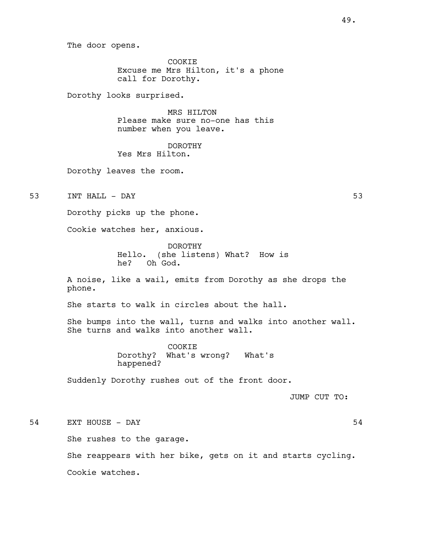The door opens.

COOKIE Excuse me Mrs Hilton, it's a phone call for Dorothy.

Dorothy looks surprised.

MRS HILTON Please make sure no-one has this number when you leave.

DOROTHY Yes Mrs Hilton.

Dorothy leaves the room.

53 INT HALL - DAY 53

Dorothy picks up the phone.

Cookie watches her, anxious.

DOROTHY Hello. (she listens) What? How is he? Oh God.

A noise, like a wail, emits from Dorothy as she drops the phone.

She starts to walk in circles about the hall.

She bumps into the wall, turns and walks into another wall. She turns and walks into another wall.

> COOKIE Dorothy? What's wrong? What's happened?

Suddenly Dorothy rushes out of the front door.

JUMP CUT TO:

54 EXT HOUSE – DAY 54

She rushes to the garage.

She reappears with her bike, gets on it and starts cycling. Cookie watches.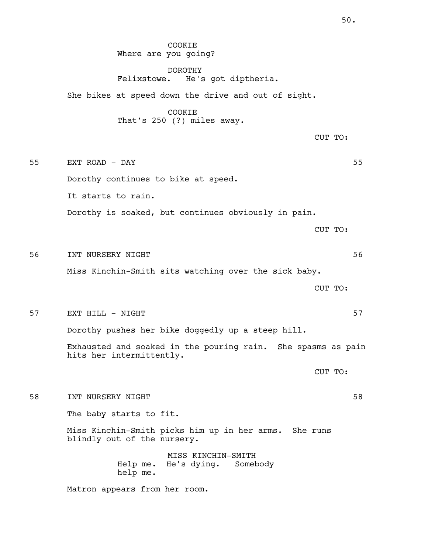COOKIE Where are you going?

DOROTHY Felixstowe. He's got diptheria.

She bikes at speed down the drive and out of sight.

COOKIE That's 250 (?) miles away.

CUT TO:

55 EXT ROAD - DAY 55 Dorothy continues to bike at speed. It starts to rain. Dorothy is soaked, but continues obviously in pain.

CUT TO:

56 INT NURSERY NIGHT 56

Miss Kinchin-Smith sits watching over the sick baby.

CUT TO:

57 EXT HILL - NIGHT 57

Dorothy pushes her bike doggedly up a steep hill.

Exhausted and soaked in the pouring rain. She spasms as pain hits her intermittently.

CUT TO:

58 INT NURSERY NIGHT 58

The baby starts to fit.

Miss Kinchin-Smith picks him up in her arms. She runs blindly out of the nursery.

> MISS KINCHIN-SMITH Help me. He's dying. Somebody help me.

Matron appears from her room.

50.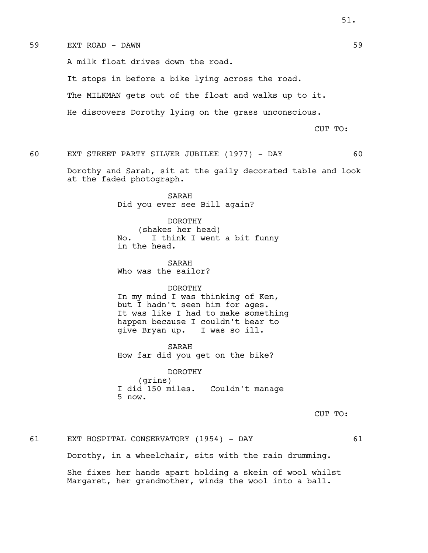#### 59 EXT ROAD - DAWN 59

A milk float drives down the road.

It stops in before a bike lying across the road.

The MILKMAN gets out of the float and walks up to it.

He discovers Dorothy lying on the grass unconscious.

CUT TO:

60 EXT STREET PARTY SILVER JUBILEE (1977) - DAY 60

Dorothy and Sarah, sit at the gaily decorated table and look at the faded photograph.

> SARAH Did you ever see Bill again?

DOROTHY (shakes her head) No. I think I went a bit funny in the head.

SARAH Who was the sailor?

#### DOROTHY

In my mind I was thinking of Ken, but I hadn't seen him for ages. It was like I had to make something happen because I couldn't bear to give Bryan up. I was so ill.

SARAH How far did you get on the bike?

DOROTHY (grins) I did 150 miles. Couldn't manage 5 now.

CUT TO:

61 EXT HOSPITAL CONSERVATORY (1954) - DAY 61 Dorothy, in a wheelchair, sits with the rain drumming. She fixes her hands apart holding a skein of wool whilst Margaret, her grandmother, winds the wool into a ball.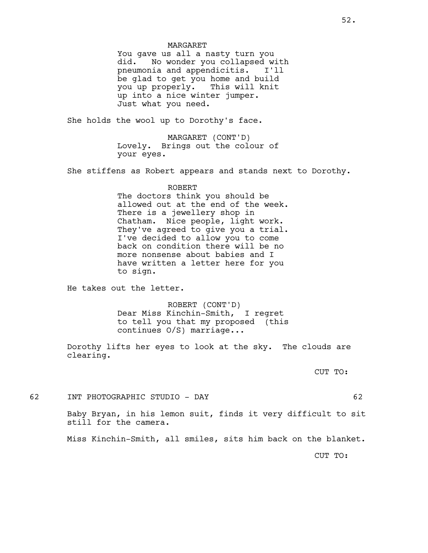#### MARGARET

You gave us all a nasty turn you did. No wonder you collapsed with pneumonia and appendicitis. I'll be glad to get you home and build you up properly. This will knit up into a nice winter jumper. Just what you need.

She holds the wool up to Dorothy's face.

MARGARET (CONT'D) Lovely. Brings out the colour of your eyes.

She stiffens as Robert appears and stands next to Dorothy.

#### ROBERT

The doctors think you should be allowed out at the end of the week. There is a jewellery shop in Chatham. Nice people, light work. They've agreed to give you a trial. I've decided to allow you to come back on condition there will be no more nonsense about babies and I have written a letter here for you to sign.

He takes out the letter.

ROBERT (CONT'D) Dear Miss Kinchin-Smith, I regret to tell you that my proposed (this continues O/S) marriage...

Dorothy lifts her eyes to look at the sky. The clouds are clearing.

CUT TO:

62 INT PHOTOGRAPHIC STUDIO - DAY 62

Baby Bryan, in his lemon suit, finds it very difficult to sit still for the camera.

Miss Kinchin-Smith, all smiles, sits him back on the blanket.

CUT TO: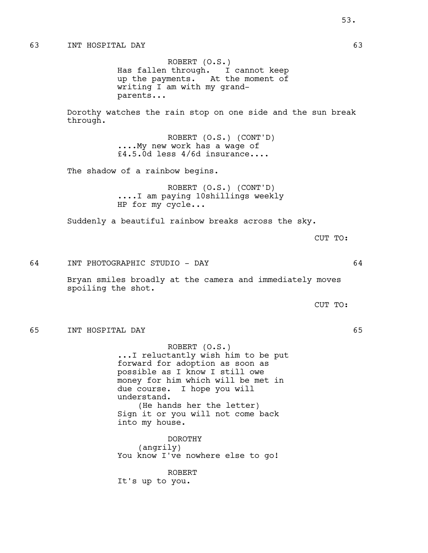ROBERT (O.S.) Has fallen through. I cannot keep up the payments. At the moment of writing I am with my grandparents...

Dorothy watches the rain stop on one side and the sun break through.

> ROBERT (O.S.) (CONT'D) ....My new work has a wage of £4.5.0d less 4/6d insurance....

The shadow of a rainbow begins.

ROBERT (O.S.) (CONT'D) ....I am paying 10shillings weekly HP for my cycle...

Suddenly a beautiful rainbow breaks across the sky.

CUT TO:

64 INT PHOTOGRAPHIC STUDIO - DAY 64

Bryan smiles broadly at the camera and immediately moves spoiling the shot.

CUT TO:

#### 65 INT HOSPITAL DAY 65

ROBERT (O.S.) ...I reluctantly wish him to be put forward for adoption as soon as possible as I know I still owe money for him which will be met in due course. I hope you will understand. (He hands her the letter) Sign it or you will not come back into my house.

DOROTHY (angrily) You know I've nowhere else to go!

ROBERT It's up to you.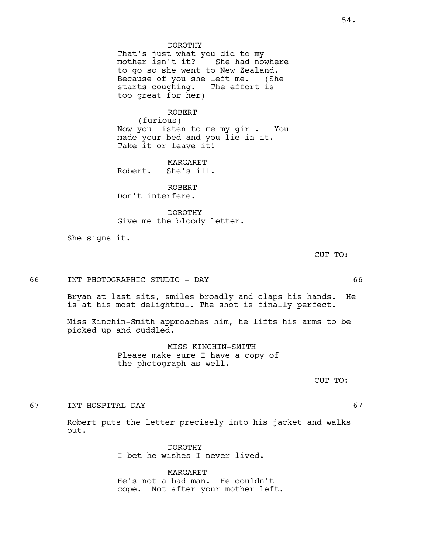DOROTHY That's just what you did to my<br>mother isn't it? She had now She had nowhere to go so she went to New Zealand. Because of you she left me. (She starts coughing. The effort is too great for her)

#### ROBERT

(furious) Now you listen to me my girl. You made your bed and you lie in it. Take it or leave it!

MARGARET Robert. She's ill.

ROBERT Don't interfere.

DOROTHY Give me the bloody letter.

She signs it.

CUT TO:

66 INT PHOTOGRAPHIC STUDIO - DAY 66

Bryan at last sits, smiles broadly and claps his hands. He is at his most delightful. The shot is finally perfect.

Miss Kinchin-Smith approaches him, he lifts his arms to be picked up and cuddled.

> MISS KINCHIN-SMITH Please make sure I have a copy of the photograph as well.

> > CUT TO:

67 INT HOSPITAL DAY 67

Robert puts the letter precisely into his jacket and walks out.

> DOROTHY I bet he wishes I never lived.

MARGARET He's not a bad man. He couldn't cope. Not after your mother left.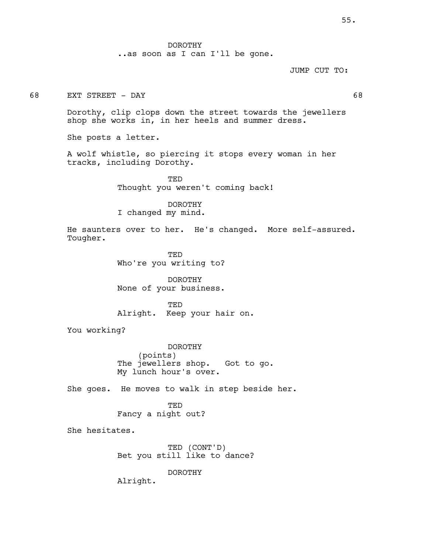..as soon as I can I'll be gone.

JUMP CUT TO:

68 EXT STREET - DAY 68

Dorothy, clip clops down the street towards the jewellers shop she works in, in her heels and summer dress.

She posts a letter.

A wolf whistle, so piercing it stops every woman in her tracks, including Dorothy.

> **TED** Thought you weren't coming back!

DOROTHY I changed my mind.

He saunters over to her. He's changed. More self-assured. Tougher.

> TED Who're you writing to?

> DOROTHY None of your business.

**TED** Alright. Keep your hair on.

You working?

DOROTHY (points) The jewellers shop. Got to go. My lunch hour's over.

She goes. He moves to walk in step beside her.

TED Fancy a night out?

She hesitates.

TED (CONT'D) Bet you still like to dance?

DOROTHY

Alright.

55.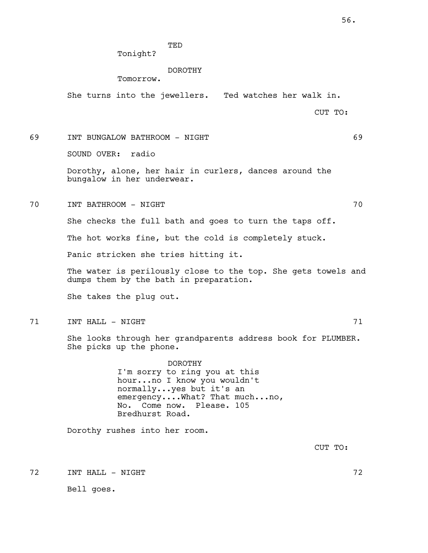TED

Tonight?

#### DOROTHY

Tomorrow.

She turns into the jewellers. Ted watches her walk in.

CUT TO:

69 INT BUNGALOW BATHROOM - NIGHT 69 SOUND OVER: radio Dorothy, alone, her hair in curlers, dances around the bungalow in her underwear. 70 INT BATHROOM - NIGHT 70 She checks the full bath and goes to turn the taps off.

The hot works fine, but the cold is completely stuck.

Panic stricken she tries hitting it.

The water is perilously close to the top. She gets towels and dumps them by the bath in preparation.

She takes the plug out.

THE TEXT TO THE STATE OF THE STATE IN THE STATE OF THE STATE OF THE STATE IN THE STATE OF THE STATE OF THE STA

She looks through her grandparents address book for PLUMBER. She picks up the phone.

> DOROTHY I'm sorry to ring you at this hour...no I know you wouldn't normally...yes but it's an emergency....What? That much...no, No. Come now. Please. 105 Bredhurst Road.

Dorothy rushes into her room.

CUT TO:

THE TEXT TO A RESERVE THE RESERVE TO A RESERVE THE RESERVE TO A RESERVE THAT THE RESERVE TO A RESERVE THAT THE STA

Bell goes.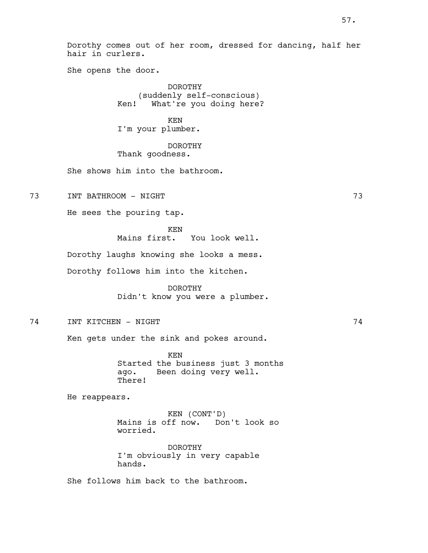Dorothy comes out of her room, dressed for dancing, half her hair in curlers.

She opens the door.

DOROTHY (suddenly self-conscious) Ken! What're you doing here?

KEN I'm your plumber.

DOROTHY Thank goodness.

She shows him into the bathroom.

73 INT BATHROOM - NIGHT 73

He sees the pouring tap.

KEN Mains first. You look well.

Dorothy laughs knowing she looks a mess.

Dorothy follows him into the kitchen.

DOROTHY Didn't know you were a plumber.

74 INT KITCHEN - NIGHT 74

Ken gets under the sink and pokes around.

KEN Started the business just 3 months ago. Been doing very well. There!

He reappears.

KEN (CONT'D) Mains is off now. Don't look so worried.

DOROTHY I'm obviously in very capable hands.

She follows him back to the bathroom.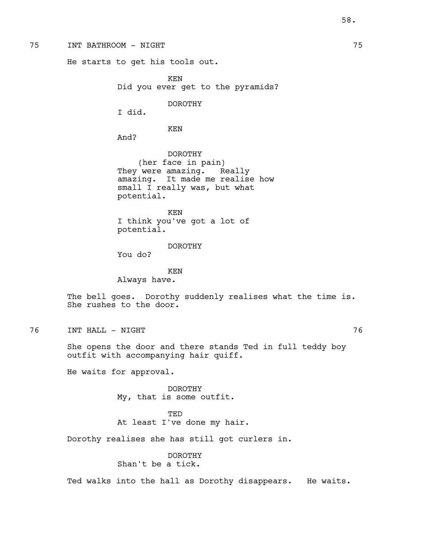#### 75 INT BATHROOM - NIGHT 75

He starts to get his tools out.

KEN Did you ever get to the pyramids?

DOROTHY

I did.

KEN

And?

DOROTHY (her face in pain) They were amazing. Really amazing. It made me realise how small I really was, but what potential.

KEN I think you've got a lot of potential.

# DOROTHY

You do?

KEN Always have.

The bell goes. Dorothy suddenly realises what the time is. She rushes to the door.

76 INT HALL - NIGHT 76

She opens the door and there stands Ted in full teddy boy outfit with accompanying hair quiff.

He waits for approval.

DOROTHY My, that is some outfit.

TED At least I've done my hair.

Dorothy realises she has still got curlers in.

DOROTHY Shan't be a tick.

Ted walks into the hall as Dorothy disappears. He waits.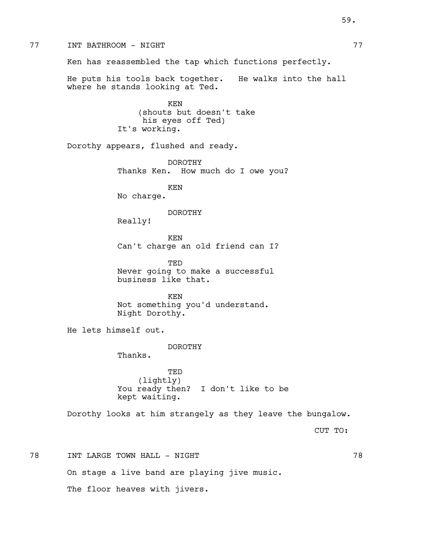77 INT BATHROOM - NIGHT 77 Ken has reassembled the tap which functions perfectly. He puts his tools back together. He walks into the hall where he stands looking at Ted. KEN (shouts but doesn't take his eyes off Ted) It's working. Dorothy appears, flushed and ready. DOROTHY Thanks Ken. How much do I owe you? KEN No charge. DOROTHY Really! KEN Can't charge an old friend can I? TED Never going to make a successful business like that. KEN Not something you'd understand. Night Dorothy. He lets himself out. DOROTHY Thanks. TED (lightly) You ready then? I don't like to be kept waiting. Dorothy looks at him strangely as they leave the bungalow. CUT TO: 78 INT LARGE TOWN HALL - NIGHT 78 On stage a live band are playing jive music. The floor heaves with jivers.

59.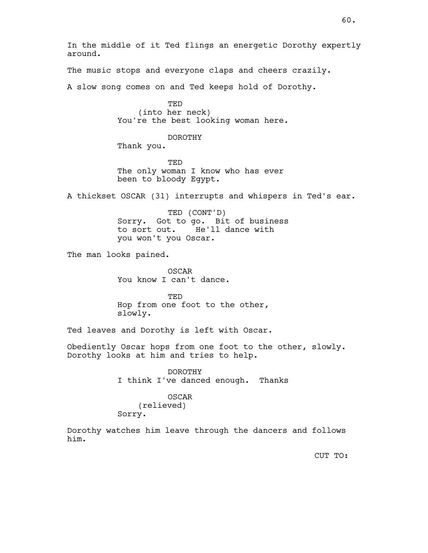In the middle of it Ted flings an energetic Dorothy expertly around.

The music stops and everyone claps and cheers crazily.

A slow song comes on and Ted keeps hold of Dorothy.

TED (into her neck) You're the best looking woman here.

DOROTHY

Thank you.

TED The only woman I know who has ever been to bloody Egypt.

A thickset OSCAR (31) interrupts and whispers in Ted's ear.

TED (CONT'D) Sorry. Got to go. Bit of business to sort out. He'll dance with you won't you Oscar.

The man looks pained.

OSCAR You know I can't dance.

TED Hop from one foot to the other, slowly.

Ted leaves and Dorothy is left with Oscar.

Obediently Oscar hops from one foot to the other, slowly. Dorothy looks at him and tries to help.

> DOROTHY I think I've danced enough. Thanks

#### OSCAR

(relieved) Sorry.

Dorothy watches him leave through the dancers and follows him.

CUT TO: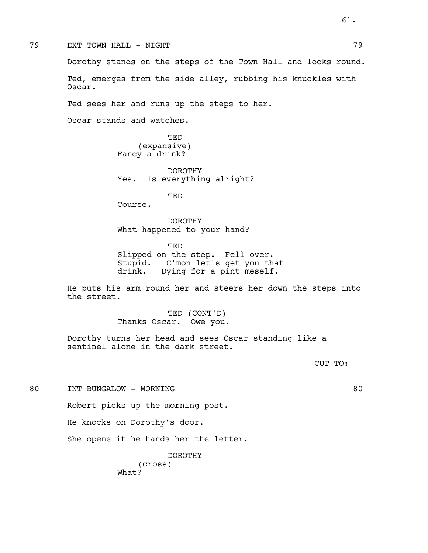Dorothy stands on the steps of the Town Hall and looks round. Ted, emerges from the side alley, rubbing his knuckles with Oscar. Ted sees her and runs up the steps to her. Oscar stands and watches. TED (expansive) Fancy a drink? DOROTHY Yes. Is everything alright? TED Course. DOROTHY What happened to your hand? TED Slipped on the step. Fell over. Stupid. C'mon let's get you that drink. Dying for a pint meself. the street. TED (CONT'D) Thanks Oscar. Owe you. Dorothy turns her head and sees Oscar standing like a sentinel alone in the dark street. CUT TO: 80 INT BUNGALOW - MORNING 80 Robert picks up the morning post. He knocks on Dorothy's door. She opens it he hands her the letter.

He puts his arm round her and steers her down the steps into

DOROTHY

(cross) What?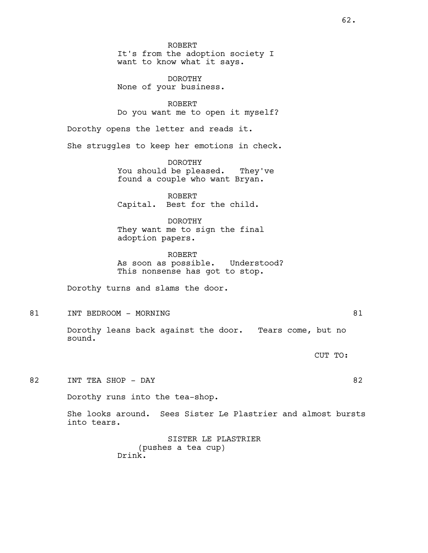ROBERT It's from the adoption society I want to know what it says.

DOROTHY None of your business.

ROBERT Do you want me to open it myself?

Dorothy opens the letter and reads it.

She struggles to keep her emotions in check.

DOROTHY You should be pleased. They've found a couple who want Bryan.

ROBERT Capital. Best for the child.

DOROTHY They want me to sign the final adoption papers.

ROBERT As soon as possible. Understood? This nonsense has got to stop.

Dorothy turns and slams the door.

81 INT BEDROOM - MORNING 81

Dorothy leans back against the door. Tears come, but no sound.

CUT TO:

82 INT TEA SHOP - DAY 82

62.

Dorothy runs into the tea-shop.

She looks around. Sees Sister Le Plastrier and almost bursts into tears.

> SISTER LE PLASTRIER (pushes a tea cup) Drink.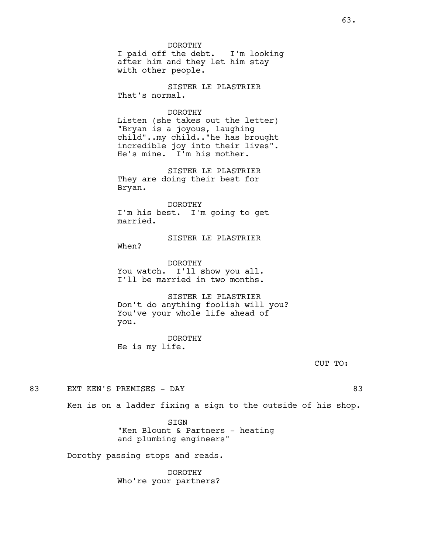DOROTHY I paid off the debt. I'm looking after him and they let him stay with other people.

SISTER LE PLASTRIER That's normal.

# DOROTHY

Listen (she takes out the letter) "Bryan is a joyous, laughing child"..my child.."he has brought incredible joy into their lives". He's mine. I'm his mother.

SISTER LE PLASTRIER They are doing their best for Bryan.

DOROTHY I'm his best. I'm going to get married.

# SISTER LE PLASTRIER

When?

DOROTHY You watch. I'll show you all. I'll be married in two months.

SISTER LE PLASTRIER Don't do anything foolish will you? You've your whole life ahead of you.

DOROTHY He is my life.

CUT TO:

83 EXT KEN'S PREMISES - DAY 63

Ken is on a ladder fixing a sign to the outside of his shop.

SIGN "Ken Blount & Partners - heating and plumbing engineers"

Dorothy passing stops and reads.

DOROTHY Who're your partners?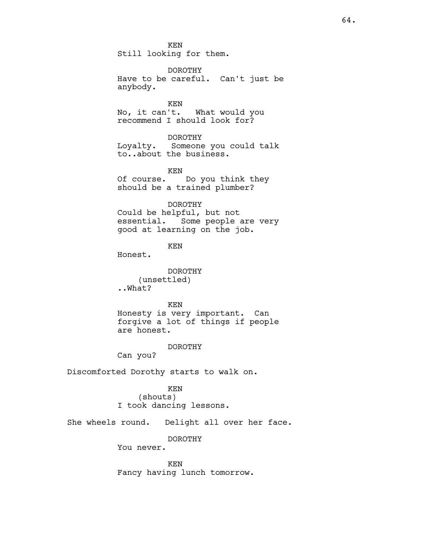KEN Still looking for them.

DOROTHY Have to be careful. Can't just be anybody.

KEN<br>No, it can't. What would you recommend I should look for?

# DOROTHY

Loyalty. Someone you could talk to..about the business.

#### KEN

Of course. Do you think they should be a trained plumber?

## DOROTHY

Could be helpful, but not essential. Some people are very good at learning on the job.

# KEN

Honest.

#### DOROTHY

(unsettled) ..What?

#### KEN

Honesty is very important. Can forgive a lot of things if people are honest.

#### DOROTHY

Can you?

Discomforted Dorothy starts to walk on.

#### KEN

(shouts) I took dancing lessons.

She wheels round. Delight all over her face.

# DOROTHY

You never.

KEN Fancy having lunch tomorrow.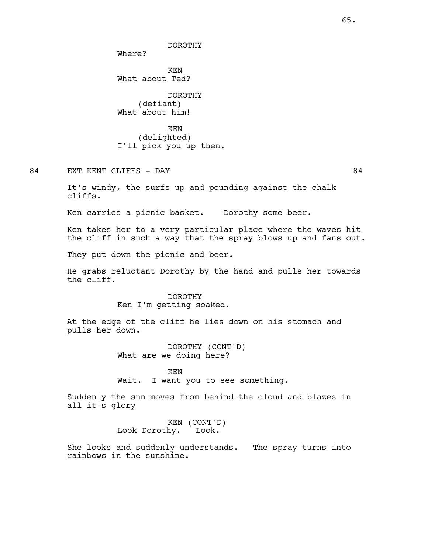DOROTHY

Where?

KEN What about Ted?

DOROTHY (defiant) What about him!

KEN (delighted) I'll pick you up then.

84 EXT KENT CLIFFS - DAY 84

It's windy, the surfs up and pounding against the chalk cliffs.

Ken carries a picnic basket. Dorothy some beer.

Ken takes her to a very particular place where the waves hit the cliff in such a way that the spray blows up and fans out.

They put down the picnic and beer.

He grabs reluctant Dorothy by the hand and pulls her towards the cliff.

> DOROTHY Ken I'm getting soaked.

At the edge of the cliff he lies down on his stomach and pulls her down.

> DOROTHY (CONT'D) What are we doing here?

KEN Wait. I want you to see something.

Suddenly the sun moves from behind the cloud and blazes in all it's glory

> KEN (CONT'D)<br>hy. Look. Look Dorothy. Look.

She looks and suddenly understands. The spray turns into rainbows in the sunshine.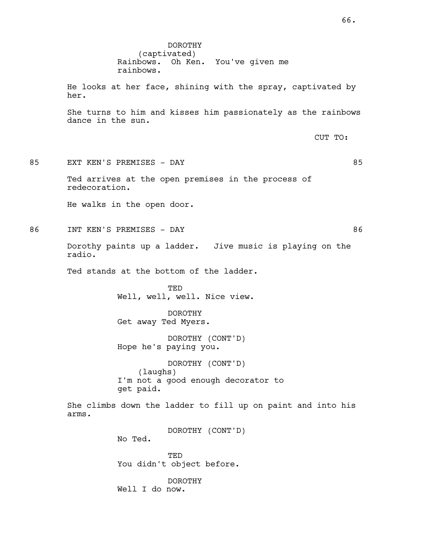DOROTHY (captivated) Rainbows. Oh Ken. You've given me rainbows. He looks at her face, shining with the spray, captivated by her. She turns to him and kisses him passionately as the rainbows dance in the sun. CUT TO: 85 EXT KEN'S PREMISES - DAY 65 Ted arrives at the open premises in the process of redecoration. He walks in the open door. 86 INT KEN'S PREMISES - DAY 66 Dorothy paints up a ladder. Jive music is playing on the radio. Ted stands at the bottom of the ladder. TED Well, well, well. Nice view. DOROTHY Get away Ted Myers. DOROTHY (CONT'D) Hope he's paying you. DOROTHY (CONT'D) (laughs) I'm not a good enough decorator to get paid. She climbs down the ladder to fill up on paint and into his arms. DOROTHY (CONT'D) No Ted. TED You didn't object before. DOROTHY Well I do now.

66.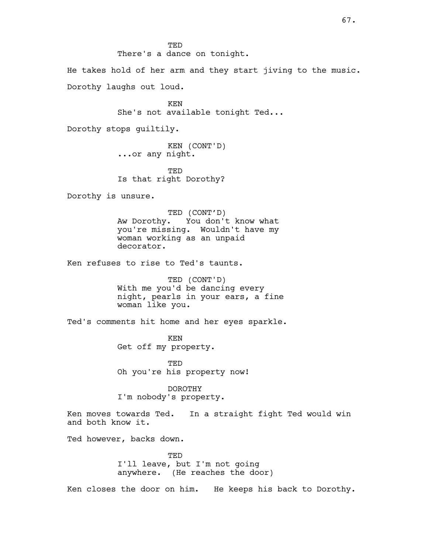TED There's a dance on tonight. He takes hold of her arm and they start jiving to the music. Dorothy laughs out loud. KEN She's not available tonight Ted... Dorothy stops guiltily. KEN (CONT'D) ...or any night. TED Is that right Dorothy? Dorothy is unsure. TED (CONT'D) Aw Dorothy. You don't know what you're missing. Wouldn't have my woman working as an unpaid decorator. Ken refuses to rise to Ted's taunts. TED (CONT'D) With me you'd be dancing every night, pearls in your ears, a fine woman like you. Ted's comments hit home and her eyes sparkle. KEN Get off my property. TED Oh you're his property now! DOROTHY I'm nobody's property. Ken moves towards Ted. In a straight fight Ted would win and both know it. Ted however, backs down. TED I'll leave, but I'm not going anywhere. (He reaches the door) Ken closes the door on him. He keeps his back to Dorothy.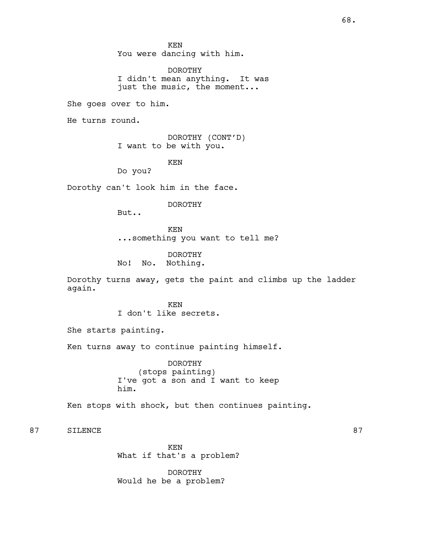KEN You were dancing with him.

DOROTHY I didn't mean anything. It was just the music, the moment...

She goes over to him.

He turns round.

DOROTHY (CONT'D) I want to be with you.

KEN

Do you?

Dorothy can't look him in the face.

DOROTHY

But..

KEN ...something you want to tell me?

DOROTHY No! No. Nothing.

Dorothy turns away, gets the paint and climbs up the ladder again.

> KEN I don't like secrets.

She starts painting.

Ken turns away to continue painting himself.

DOROTHY (stops painting) I've got a son and I want to keep him.

Ken stops with shock, but then continues painting.

87 SILENCE 87

KEN What if that's a problem?

DOROTHY Would he be a problem?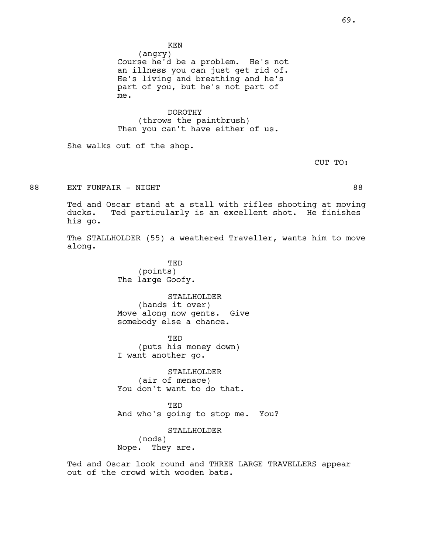KEN

(angry) Course he'd be a problem. He's not an illness you can just get rid of. He's living and breathing and he's part of you, but he's not part of me.

DOROTHY (throws the paintbrush) Then you can't have either of us.

She walks out of the shop.

CUT TO:

88 EXT FUNFAIR – NIGHT NATURE 1988 EXT FUNFAIR – NIGHT

Ted and Oscar stand at a stall with rifles shooting at moving ducks. Ted particularly is an excellent shot. He finishes his go.

The STALLHOLDER (55) a weathered Traveller, wants him to move along.

> TED (points) The large Goofy.

STALLHOLDER (hands it over) Move along now gents. Give somebody else a chance.

TED (puts his money down) I want another go.

STALLHOLDER (air of menace) You don't want to do that.

TED And who's going to stop me. You?

STALLHOLDER (nods) Nope. They are.

Ted and Oscar look round and THREE LARGE TRAVELLERS appear out of the crowd with wooden bats.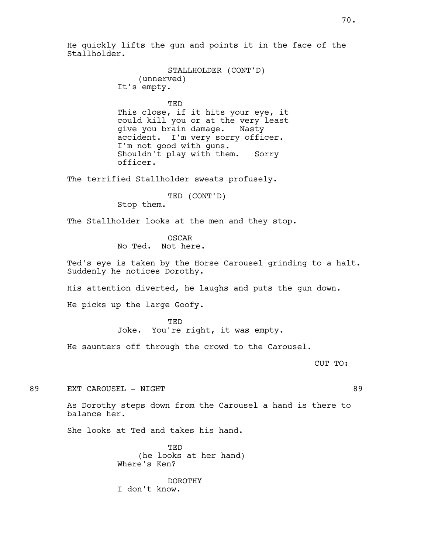He quickly lifts the gun and points it in the face of the Stallholder.

```
STALLHOLDER (CONT'D)
    (unnerved)
It's empty.
```
TED

This close, if it hits your eye, it could kill you or at the very least give you brain damage. Nasty accident. I'm very sorry officer. I'm not good with guns. Shouldn't play with them. Sorry officer.

The terrified Stallholder sweats profusely.

TED (CONT'D)

Stop them.

The Stallholder looks at the men and they stop.

OSCAR No Ted. Not here.

Ted's eye is taken by the Horse Carousel grinding to a halt. Suddenly he notices Dorothy.

His attention diverted, he laughs and puts the gun down.

He picks up the large Goofy.

TED Joke. You're right, it was empty.

He saunters off through the crowd to the Carousel.

CUT TO:

89 EXT CAROUSEL – NIGHT NATIONAL SERVICE SERVICE SERVICE SERVICE SERVICE SERVICE SERVICE SERVICE SERVICE SERVICE SERVICE SERVICE SERVICE SERVICE SERVICE SERVICE SERVICE SERVICE SERVICE SERVICE SERVICE SERVICE SERVICE SERVI

As Dorothy steps down from the Carousel a hand is there to balance her.

She looks at Ted and takes his hand.

TED (he looks at her hand) Where's Ken?

DOROTHY I don't know.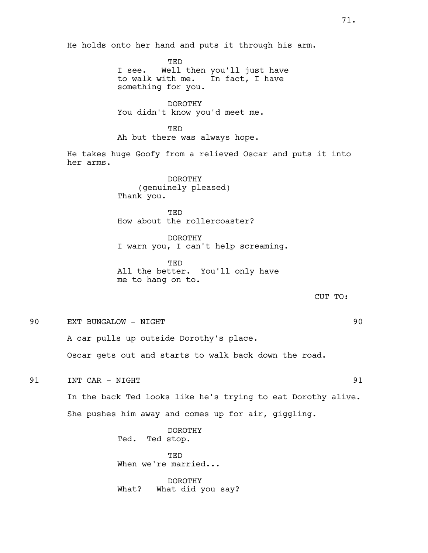He holds onto her hand and puts it through his arm.

TED I see. Well then you'll just have to walk with me. In fact, I have something for you.

DOROTHY You didn't know you'd meet me.

TED Ah but there was always hope.

He takes huge Goofy from a relieved Oscar and puts it into her arms.

> DOROTHY (genuinely pleased) Thank you.

**TED** How about the rollercoaster?

DOROTHY I warn you, I can't help screaming.

TED All the better. You'll only have me to hang on to.

CUT TO:

90 EXT BUNGALOW - NIGHT 90

A car pulls up outside Dorothy's place.

Oscar gets out and starts to walk back down the road.

91 INT CAR - NIGHT 91

In the back Ted looks like he's trying to eat Dorothy alive. She pushes him away and comes up for air, giggling.

> DOROTHY Ted. Ted stop.

TED When we're married...

DOROTHY What? What did you say?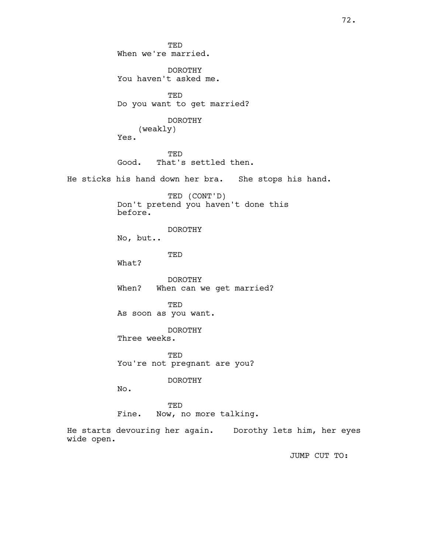TED When we're married. DOROTHY You haven't asked me. TED Do you want to get married? DOROTHY (weakly) Yes. TED Good. That's settled then. He sticks his hand down her bra. She stops his hand. TED (CONT'D) Don't pretend you haven't done this before. DOROTHY No, but.. TED What? DOROTHY When? When can we get married? **TED** As soon as you want. DOROTHY Three weeks. TED You're not pregnant are you? DOROTHY No. TED Fine. Now, no more talking. He starts devouring her again. Dorothy lets him, her eyes wide open. JUMP CUT TO: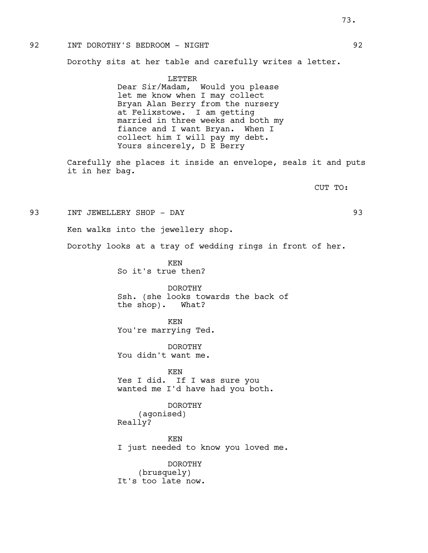## 92 INT DOROTHY'S BEDROOM - NIGHT 92

Dorothy sits at her table and carefully writes a letter.

LETTER Dear Sir/Madam, Would you please let me know when I may collect Bryan Alan Berry from the nursery at Felixstowe. I am getting married in three weeks and both my fiance and I want Bryan. When I collect him I will pay my debt. Yours sincerely, D E Berry

Carefully she places it inside an envelope, seals it and puts it in her bag.

CUT TO:

93 INT JEWELLERY SHOP - DAY 93

Ken walks into the jewellery shop.

Dorothy looks at a tray of wedding rings in front of her.

KEN So it's true then?

DOROTHY Ssh. (she looks towards the back of the shop). What?

KEN You're marrying Ted.

DOROTHY You didn't want me.

KEN Yes I did. If I was sure you wanted me I'd have had you both.

DOROTHY (agonised) Really?

KEN I just needed to know you loved me.

DOROTHY (brusquely) It's too late now.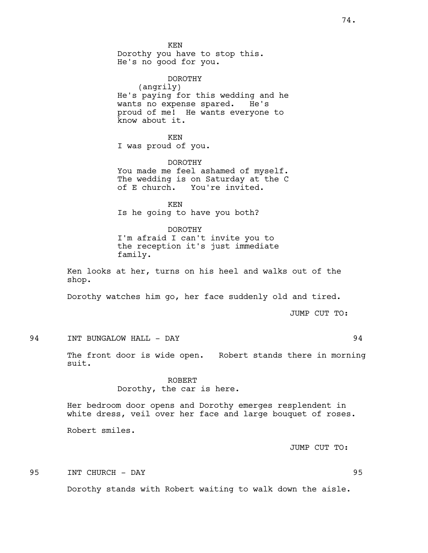KEN Dorothy you have to stop this. He's no good for you.

DOROTHY (angrily) He's paying for this wedding and he wants no expense spared. He's proud of me! He wants everyone to know about it.

KEN I was proud of you.

DOROTHY You made me feel ashamed of myself. The wedding is on Saturday at the C of E church. You're invited.

KEN Is he going to have you both?

DOROTHY I'm afraid I can't invite you to the reception it's just immediate family.

Ken looks at her, turns on his heel and walks out of the shop.

Dorothy watches him go, her face suddenly old and tired.

JUMP CUT TO:

94 INT BUNGALOW HALL - DAY 34

The front door is wide open. Robert stands there in morning suit.

> ROBERT Dorothy, the car is here.

Her bedroom door opens and Dorothy emerges resplendent in white dress, veil over her face and large bouquet of roses.

Robert smiles.

JUMP CUT TO:

95 INT CHURCH - DAY 95

Dorothy stands with Robert waiting to walk down the aisle.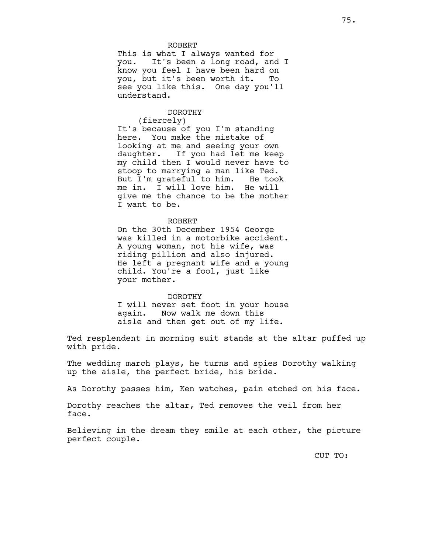## ROBERT

This is what I always wanted for you. It's been a long road, and I know you feel I have been hard on you, but it's been worth it. To see you like this. One day you'll understand.

## DOROTHY

(fiercely)

It's because of you I'm standing here. You make the mistake of looking at me and seeing your own daughter. If you had let me keep my child then I would never have to stoop to marrying a man like Ted. But I'm grateful to him. He took me in. I will love him. He will give me the chance to be the mother I want to be.

#### ROBERT

On the 30th December 1954 George was killed in a motorbike accident. A young woman, not his wife, was riding pillion and also injured. He left a pregnant wife and a young child. You're a fool, just like your mother.

#### DOROTHY

I will never set foot in your house again. Now walk me down this aisle and then get out of my life.

Ted resplendent in morning suit stands at the altar puffed up with pride.

The wedding march plays, he turns and spies Dorothy walking up the aisle, the perfect bride, his bride.

As Dorothy passes him, Ken watches, pain etched on his face.

Dorothy reaches the altar, Ted removes the veil from her face.

Believing in the dream they smile at each other, the picture perfect couple.

CUT TO: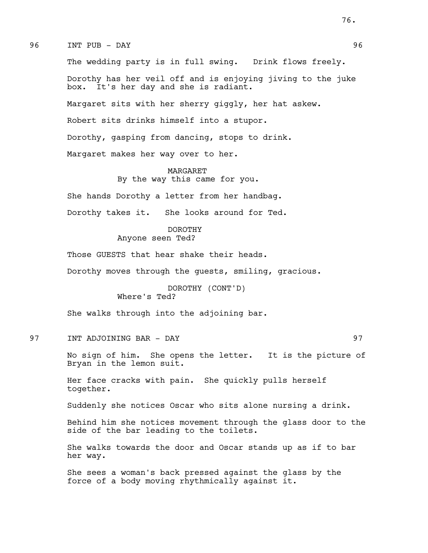96 INT PUB - DAY 96

The wedding party is in full swing. Drink flows freely. Dorothy has her veil off and is enjoying jiving to the juke box. It's her day and she is radiant. Margaret sits with her sherry giggly, her hat askew. Robert sits drinks himself into a stupor. Dorothy, gasping from dancing, stops to drink. Margaret makes her way over to her.

#### MARGARET

By the way this came for you.

She hands Dorothy a letter from her handbag.

Dorothy takes it. She looks around for Ted.

#### DOROTHY

Anyone seen Ted?

Those GUESTS that hear shake their heads.

Dorothy moves through the guests, smiling, gracious.

DOROTHY (CONT'D) Where's Ted?

She walks through into the adjoining bar.

97 INT ADJOINING BAR - DAY 97

No sign of him. She opens the letter. It is the picture of Bryan in the lemon suit.

Her face cracks with pain. She quickly pulls herself together.

Suddenly she notices Oscar who sits alone nursing a drink.

Behind him she notices movement through the glass door to the side of the bar leading to the toilets.

She walks towards the door and Oscar stands up as if to bar her way.

She sees a woman's back pressed against the glass by the force of a body moving rhythmically against it.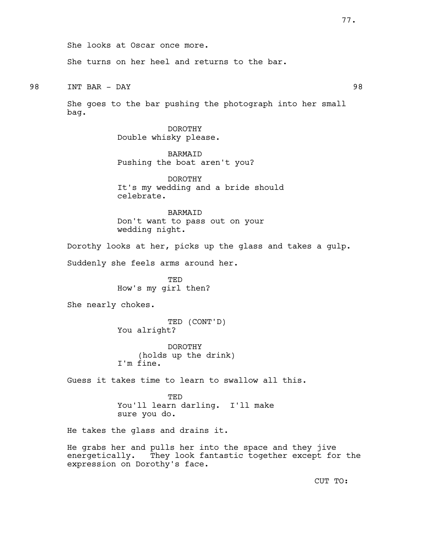She looks at Oscar once more. She turns on her heel and returns to the bar. 98 INT BAR - DAY 98 She goes to the bar pushing the photograph into her small bag. DOROTHY Double whisky please. BARMAID Pushing the boat aren't you? DOROTHY It's my wedding and a bride should celebrate. **BARMATD** Don't want to pass out on your wedding night. Dorothy looks at her, picks up the glass and takes a gulp. Suddenly she feels arms around her. TED How's my girl then? She nearly chokes. TED (CONT'D) You alright? DOROTHY (holds up the drink) I'm fine. Guess it takes time to learn to swallow all this. TED You'll learn darling. I'll make sure you do. He takes the glass and drains it. He grabs her and pulls her into the space and they jive energetically. They look fantastic together except for the expression on Dorothy's face. CUT TO: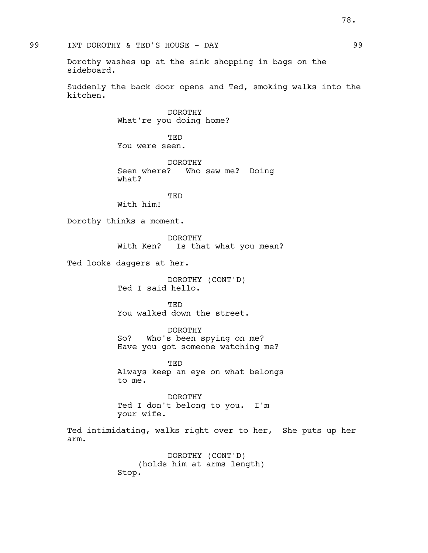Dorothy washes up at the sink shopping in bags on the sideboard.

Suddenly the back door opens and Ted, smoking walks into the kitchen.

> DOROTHY What're you doing home?

TED You were seen.

DOROTHY Seen where? Who saw me? Doing what?

TED With him!

Dorothy thinks a moment.

DOROTHY With Ken? Is that what you mean?

Ted looks daggers at her.

DOROTHY (CONT'D) Ted I said hello.

**TED** You walked down the street.

DOROTHY So? Who's been spying on me? Have you got someone watching me?

**TED** Always keep an eye on what belongs to me.

DOROTHY Ted I don't belong to you. I'm your wife.

Ted intimidating, walks right over to her, She puts up her arm.

> DOROTHY (CONT'D) (holds him at arms length) Stop.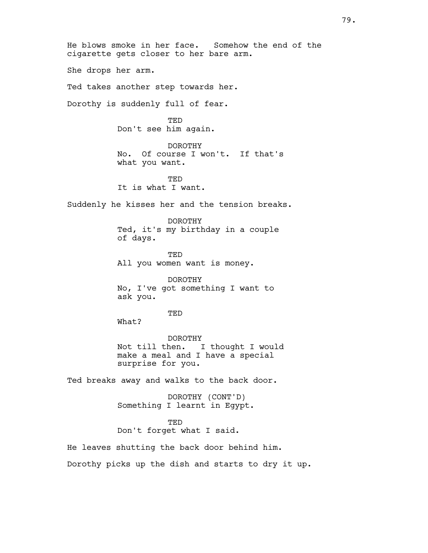He blows smoke in her face. Somehow the end of the cigarette gets closer to her bare arm. She drops her arm. Ted takes another step towards her. Dorothy is suddenly full of fear. **TED** Don't see him again. DOROTHY No. Of course I won't. If that's what you want. **TED** It is what I want. Suddenly he kisses her and the tension breaks. DOROTHY Ted, it's my birthday in a couple of days. TED All you women want is money. DOROTHY No, I've got something I want to ask you. TED What? DOROTHY Not till then. I thought I would make a meal and I have a special surprise for you. Ted breaks away and walks to the back door. DOROTHY (CONT'D) Something I learnt in Egypt. TED Don't forget what I said. He leaves shutting the back door behind him. Dorothy picks up the dish and starts to dry it up.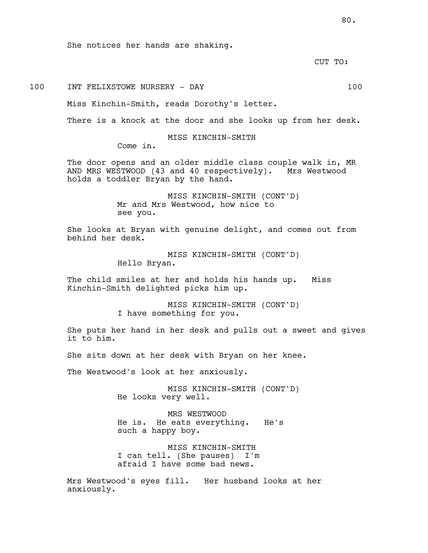She notices her hands are shaking.

CUT TO:

# 100 INT FELIXSTOWE NURSERY - DAY 100

Miss Kinchin-Smith, reads Dorothy's letter.

There is a knock at the door and she looks up from her desk.

MISS KINCHIN-SMITH

Come in.

The door opens and an older middle class couple walk in, MR AND MRS WESTWOOD (43 and 40 respectively). Mrs Westwood holds a toddler Bryan by the hand.

> MISS KINCHIN-SMITH (CONT'D) Mr and Mrs Westwood, how nice to see you.

She looks at Bryan with genuine delight, and comes out from behind her desk.

> MISS KINCHIN-SMITH (CONT'D) Hello Bryan.

The child smiles at her and holds his hands up. Miss Kinchin-Smith delighted picks him up.

> MISS KINCHIN-SMITH (CONT'D) I have something for you.

She puts her hand in her desk and pulls out a sweet and gives it to him.

She sits down at her desk with Bryan on her knee.

The Westwood's look at her anxiously.

MISS KINCHIN-SMITH (CONT'D) He looks very well.

MRS WESTWOOD He is. He eats everything. He's such a happy boy.

MISS KINCHIN-SMITH I can tell. (She pauses) I'm afraid I have some bad news.

Mrs Westwood's eyes fill. Her husband looks at her anxiously.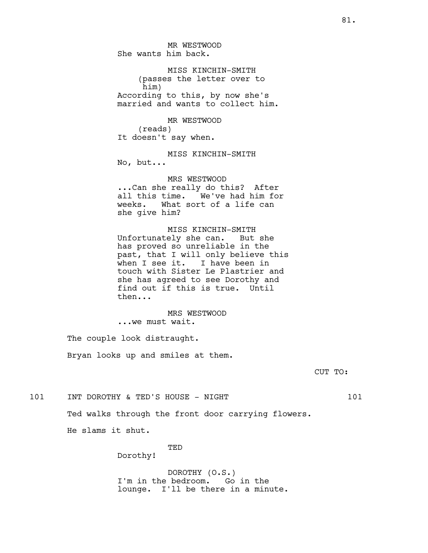MR WESTWOOD She wants him back.

MISS KINCHIN-SMITH (passes the letter over to him) According to this, by now she's married and wants to collect him.

MR WESTWOOD (reads) It doesn't say when.

MISS KINCHIN-SMITH No, but...

MRS WESTWOOD ...Can she really do this? After all this time. We've had him for weeks. What sort of a life can she give him?

MISS KINCHIN-SMITH Unfortunately she can. But she has proved so unreliable in the past, that I will only believe this when I see it. I have been in touch with Sister Le Plastrier and she has agreed to see Dorothy and find out if this is true. Until then...

MRS WESTWOOD ...we must wait.

The couple look distraught. Bryan looks up and smiles at them.

CUT TO:

101 INT DOROTHY & TED'S HOUSE - NIGHT 101

Ted walks through the front door carrying flowers.

He slams it shut.

TED

Dorothy!

DOROTHY (O.S.) I'm in the bedroom. Go in the lounge. I'll be there in a minute.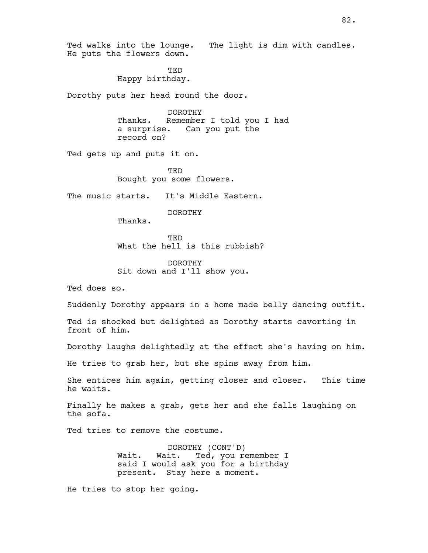Ted walks into the lounge. The light is dim with candles. He puts the flowers down. TED Happy birthday. Dorothy puts her head round the door. DOROTHY Thanks. Remember I told you I had a surprise. Can you put the record on? Ted gets up and puts it on. TED Bought you some flowers. The music starts. It's Middle Eastern. DOROTHY Thanks. **TED** What the hell is this rubbish? DOROTHY Sit down and I'll show you. Ted does so. Suddenly Dorothy appears in a home made belly dancing outfit. Ted is shocked but delighted as Dorothy starts cavorting in front of him. Dorothy laughs delightedly at the effect she's having on him. He tries to grab her, but she spins away from him. She entices him again, getting closer and closer. This time he waits. Finally he makes a grab, gets her and she falls laughing on the sofa. Ted tries to remove the costume. DOROTHY (CONT'D) Wait. Wait. Ted, you remember I said I would ask you for a birthday present. Stay here a moment. He tries to stop her going.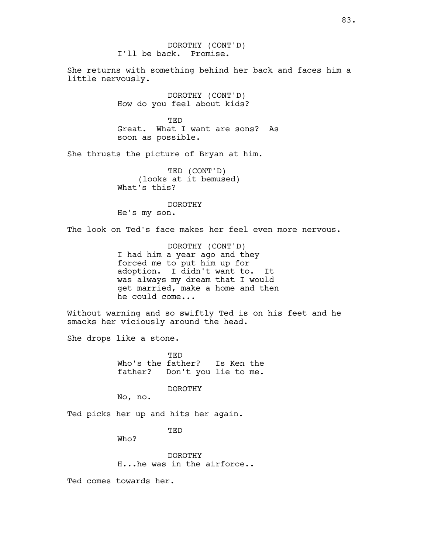DOROTHY (CONT'D) I'll be back. Promise.

She returns with something behind her back and faces him a little nervously.

> DOROTHY (CONT'D) How do you feel about kids?

**TED** Great. What I want are sons? As soon as possible.

She thrusts the picture of Bryan at him.

TED (CONT'D) (looks at it bemused) What's this?

DOROTHY He's my son.

The look on Ted's face makes her feel even more nervous.

DOROTHY (CONT'D) I had him a year ago and they forced me to put him up for adoption. I didn't want to. It was always my dream that I would get married, make a home and then he could come...

Without warning and so swiftly Ted is on his feet and he smacks her viciously around the head.

She drops like a stone.

TED Who's the father? Is Ken the father? Don't you lie to me.

DOROTHY

No, no.

Ted picks her up and hits her again.

TED

Who?

DOROTHY H...he was in the airforce..

Ted comes towards her.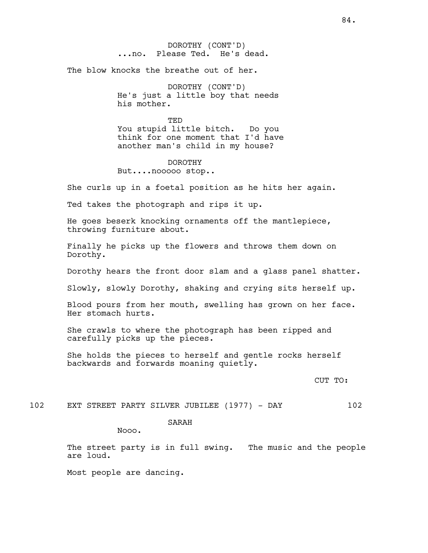DOROTHY (CONT'D) ...no. Please Ted. He's dead.

The blow knocks the breathe out of her.

DOROTHY (CONT'D) He's just a little boy that needs his mother.

**TED** You stupid little bitch. Do you think for one moment that I'd have another man's child in my house?

DOROTHY But....nooooo stop..

She curls up in a foetal position as he hits her again.

Ted takes the photograph and rips it up.

He goes beserk knocking ornaments off the mantlepiece, throwing furniture about.

Finally he picks up the flowers and throws them down on Dorothy.

Dorothy hears the front door slam and a glass panel shatter.

Slowly, slowly Dorothy, shaking and crying sits herself up.

Blood pours from her mouth, swelling has grown on her face. Her stomach hurts.

She crawls to where the photograph has been ripped and carefully picks up the pieces.

She holds the pieces to herself and gentle rocks herself backwards and forwards moaning quietly.

CUT TO:

102 EXT STREET PARTY SILVER JUBILEE (1977) - DAY 102

## SARAH

Nooo.

The street party is in full swing. The music and the people are loud.

Most people are dancing.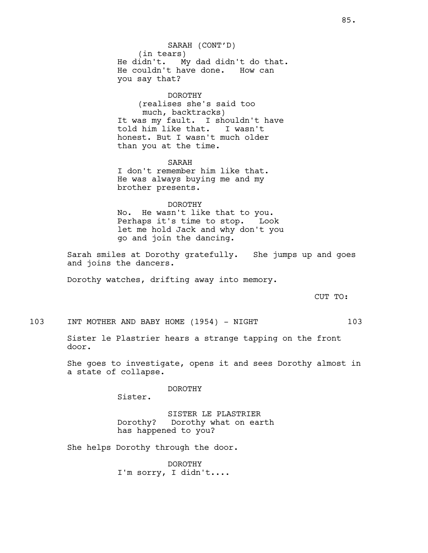SARAH (CONT'D) (in tears)<br>He didn't. M My dad didn't do that. He couldn't have done. How can you say that?

## DOROTHY

(realises she's said too much, backtracks) It was my fault. I shouldn't have told him like that. I wasn't honest. But I wasn't much older than you at the time.

SARAH I don't remember him like that. He was always buying me and my brother presents.

#### DOROTHY

No. He wasn't like that to you. Perhaps it's time to stop. Look let me hold Jack and why don't you go and join the dancing.

Sarah smiles at Dorothy gratefully. She jumps up and goes and joins the dancers.

Dorothy watches, drifting away into memory.

CUT TO:

103 INT MOTHER AND BABY HOME (1954) - NIGHT 103

Sister le Plastrier hears a strange tapping on the front door.

She goes to investigate, opens it and sees Dorothy almost in a state of collapse.

DOROTHY

Sister.

SISTER LE PLASTRIER Dorothy? Dorothy what on earth has happened to you?

She helps Dorothy through the door.

DOROTHY I'm sorry, I didn't....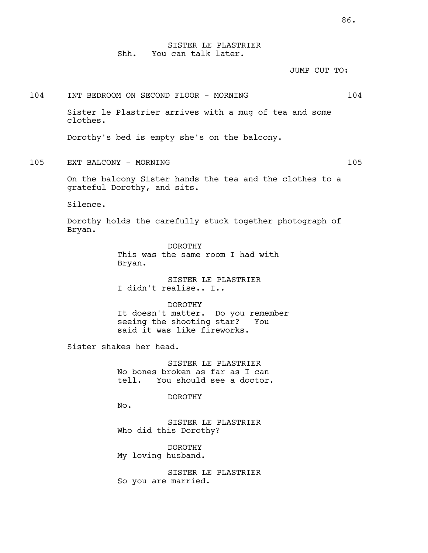SISTER LE PLASTRIER Shh. You can talk later.

JUMP CUT TO:

## 104 INT BEDROOM ON SECOND FLOOR - MORNING 104

Sister le Plastrier arrives with a mug of tea and some clothes.

Dorothy's bed is empty she's on the balcony.

105 EXT BALCONY - MORNING 105

On the balcony Sister hands the tea and the clothes to a grateful Dorothy, and sits.

Silence.

Dorothy holds the carefully stuck together photograph of Bryan.

> DOROTHY This was the same room I had with Bryan.

SISTER LE PLASTRIER I didn't realise.. I..

DOROTHY It doesn't matter. Do you remember seeing the shooting star? You said it was like fireworks.

Sister shakes her head.

SISTER LE PLASTRIER No bones broken as far as I can tell. You should see a doctor.

DOROTHY

No.

SISTER LE PLASTRIER Who did this Dorothy?

DOROTHY My loving husband.

SISTER LE PLASTRIER So you are married.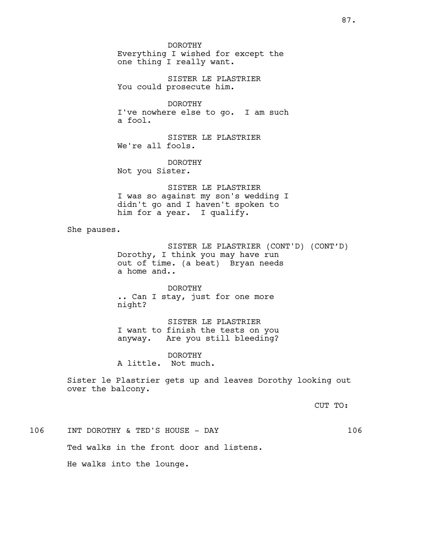DOROTHY Everything I wished for except the one thing I really want.

SISTER LE PLASTRIER You could prosecute him.

DOROTHY I've nowhere else to go. I am such a fool.

SISTER LE PLASTRIER We're all fools.

DOROTHY Not you Sister.

SISTER LE PLASTRIER I was so against my son's wedding I didn't go and I haven't spoken to him for a year. I qualify.

She pauses.

SISTER LE PLASTRIER (CONT'D) (CONT'D) Dorothy, I think you may have run out of time. (a beat) Bryan needs a home and..

DOROTHY .. Can I stay, just for one more night?

SISTER LE PLASTRIER I want to finish the tests on you anyway. Are you still bleeding?

DOROTHY A little. Not much.

Sister le Plastrier gets up and leaves Dorothy looking out over the balcony.

CUT TO:

106 INT DOROTHY & TED'S HOUSE - DAY 106 Ted walks in the front door and listens. He walks into the lounge.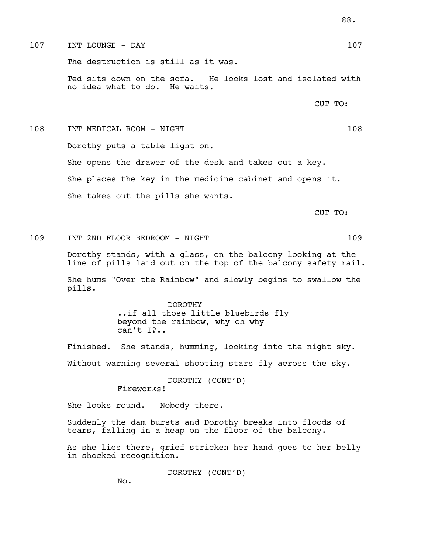## $107$  INT LOUNGE - DAY 107

The destruction is still as it was.

Ted sits down on the sofa. He looks lost and isolated with no idea what to do. He waits.

CUT TO:

# 108 INT MEDICAL ROOM - NIGHT 108 Dorothy puts a table light on. She opens the drawer of the desk and takes out a key. She places the key in the medicine cabinet and opens it. She takes out the pills she wants. CUT TO:

109 INT 2ND FLOOR BEDROOM - NIGHT 109

Dorothy stands, with a glass, on the balcony looking at the line of pills laid out on the top of the balcony safety rail.

She hums "Over the Rainbow" and slowly begins to swallow the pills.

> DOROTHY ..if all those little bluebirds fly beyond the rainbow, why oh why can't I?..

Finished. She stands, humming, looking into the night sky. Without warning several shooting stars fly across the sky.

> DOROTHY (CONT'D) Fireworks!

She looks round. Nobody there.

Suddenly the dam bursts and Dorothy breaks into floods of tears, falling in a heap on the floor of the balcony.

As she lies there, grief stricken her hand goes to her belly in shocked recognition.

DOROTHY (CONT'D)

No.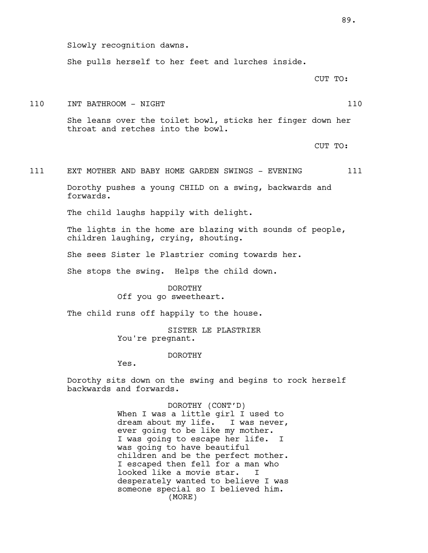She pulls herself to her feet and lurches inside.

CUT TO:

110 INT BATHROOM - NIGHT 110

She leans over the toilet bowl, sticks her finger down her throat and retches into the bowl.

CUT TO:

111 EXT MOTHER AND BABY HOME GARDEN SWINGS - EVENING 111

Dorothy pushes a young CHILD on a swing, backwards and forwards.

The child laughs happily with delight.

The lights in the home are blazing with sounds of people, children laughing, crying, shouting.

She sees Sister le Plastrier coming towards her.

She stops the swing. Helps the child down.

DOROTHY Off you go sweetheart.

The child runs off happily to the house.

SISTER LE PLASTRIER You're pregnant.

#### DOROTHY

Yes.

Dorothy sits down on the swing and begins to rock herself backwards and forwards.

> DOROTHY (CONT'D) When I was a little girl I used to dream about my life. I was never, ever going to be like my mother. I was going to escape her life. I was going to have beautiful children and be the perfect mother. I escaped then fell for a man who looked like a movie star. I desperately wanted to believe I was someone special so I believed him. (MORE)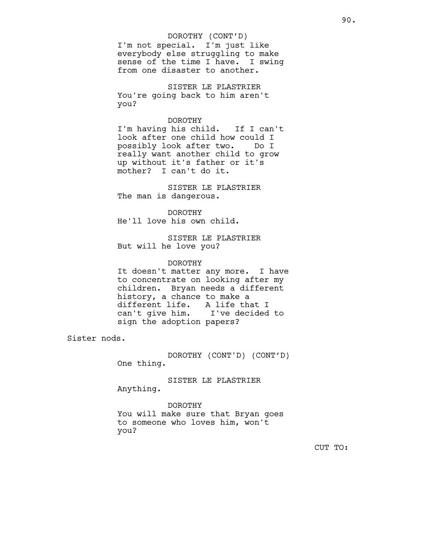# DOROTHY (CONT'D)

I'm not special. I'm just like everybody else struggling to make sense of the time I have. I swing from one disaster to another.

SISTER LE PLASTRIER You're going back to him aren't you?

#### DOROTHY

I'm having his child. If I can't look after one child how could I possibly look after two. Do I really want another child to grow up without it's father or it's mother? I can't do it.

SISTER LE PLASTRIER The man is dangerous.

DOROTHY He'll love his own child.

SISTER LE PLASTRIER But will he love you?

#### DOROTHY

It doesn't matter any more. I have to concentrate on looking after my children. Bryan needs a different history, a chance to make a different life. A life that I<br>can't give him. I've decided I've decided to sign the adoption papers?

Sister nods.

DOROTHY (CONT'D) (CONT'D) One thing.

SISTER LE PLASTRIER Anything.

DOROTHY You will make sure that Bryan goes to someone who loves him, won't you?

CUT TO: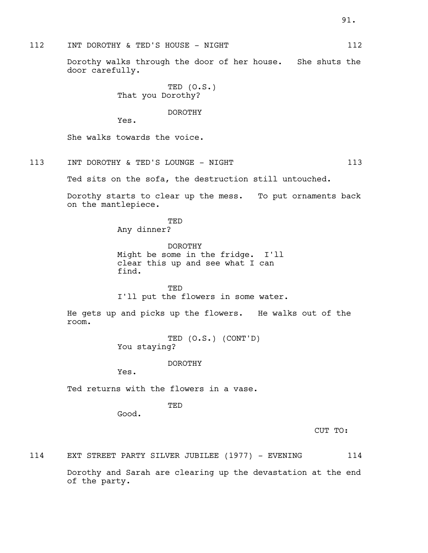## 112 INT DOROTHY & TED'S HOUSE - NIGHT 112

Dorothy walks through the door of her house. She shuts the door carefully.

> TED (O.S.) That you Dorothy?

> > DOROTHY

Yes.

She walks towards the voice.

113 INT DOROTHY & TED'S LOUNGE - NIGHT 113

Ted sits on the sofa, the destruction still untouched.

Dorothy starts to clear up the mess. To put ornaments back on the mantlepiece.

> TED Any dinner?

DOROTHY Might be some in the fridge. I'll clear this up and see what I can find.

**TED** I'll put the flowers in some water.

He gets up and picks up the flowers. He walks out of the room.

> TED (O.S.) (CONT'D) You staying?

> > DOROTHY

Yes.

Ted returns with the flowers in a vase.

TED

Good.

CUT TO:

114 EXT STREET PARTY SILVER JUBILEE (1977) - EVENING 114

Dorothy and Sarah are clearing up the devastation at the end of the party.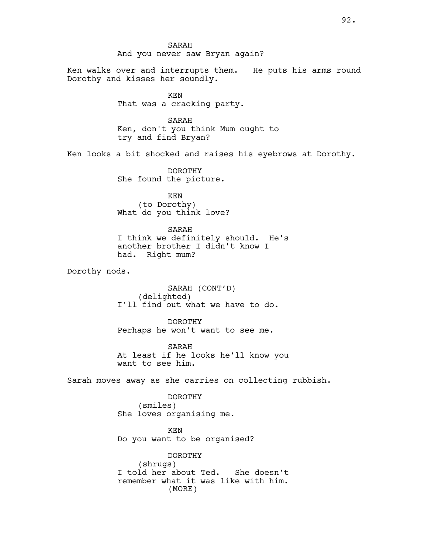# SARAH And you never saw Bryan again?

Ken walks over and interrupts them. He puts his arms round Dorothy and kisses her soundly.

> KEN That was a cracking party.

SARAH Ken, don't you think Mum ought to try and find Bryan?

Ken looks a bit shocked and raises his eyebrows at Dorothy.

DOROTHY She found the picture.

KEN (to Dorothy) What do you think love?

#### SARAH

I think we definitely should. He's another brother I didn't know I had. Right mum?

Dorothy nods.

SARAH (CONT'D) (delighted) I'll find out what we have to do.

DOROTHY Perhaps he won't want to see me.

SARAH At least if he looks he'll know you want to see him.

Sarah moves away as she carries on collecting rubbish.

DOROTHY (smiles) She loves organising me.

KEN Do you want to be organised?

DOROTHY (shrugs) I told her about Ted. She doesn't remember what it was like with him. (MORE)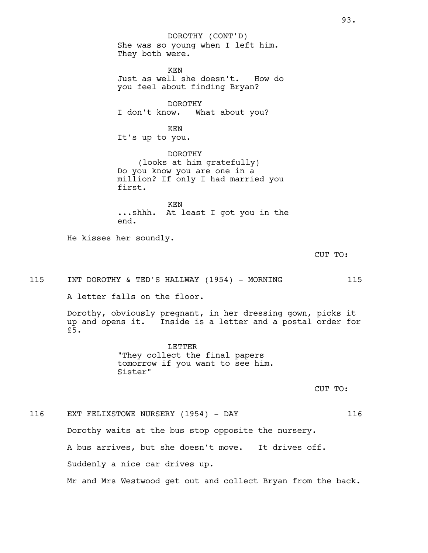She was so young when I left him. They both were. KEN Just as well she doesn't. How do you feel about finding Bryan? DOROTHY I don't know. What about you? KEN It's up to you. DOROTHY (looks at him gratefully) Do you know you are one in a million? If only I had married you first. KEN ...shhh. At least I got you in the end. He kisses her soundly. 115 INT DOROTHY & TED'S HALLWAY (1954) - MORNING 115 A letter falls on the floor. Dorothy, obviously pregnant, in her dressing gown, picks it up and opens it. Inside is a letter and a postal order for LETTER "They collect the final papers tomorrow if you want to see him. Sister" 116 EXT FELIXSTOWE NURSERY (1954) - DAY 116 Dorothy waits at the bus stop opposite the nursery. DOROTHY (CONT'D)

A bus arrives, but she doesn't move. It drives off. Suddenly a nice car drives up.

£5.

Mr and Mrs Westwood get out and collect Bryan from the back.

93.

CUT TO:

CUT TO: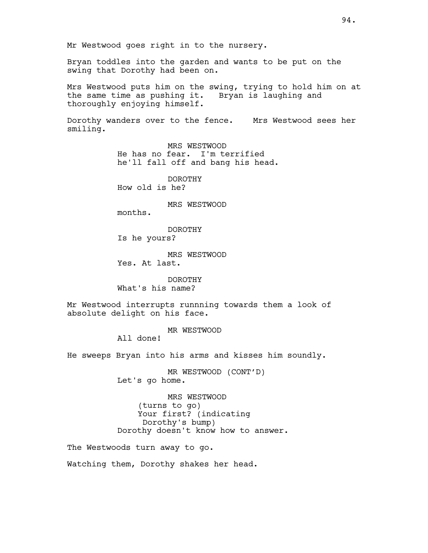Bryan toddles into the garden and wants to be put on the swing that Dorothy had been on.

Mrs Westwood puts him on the swing, trying to hold him on at the same time as pushing it. Bryan is laughing and thoroughly enjoying himself.

Dorothy wanders over to the fence. Mrs Westwood sees her smiling.

> MRS WESTWOOD He has no fear. I'm terrified he'll fall off and bang his head.

DOROTHY How old is he?

MRS WESTWOOD

months.

DOROTHY Is he yours?

MRS WESTWOOD Yes. At last.

DOROTHY What's his name?

Mr Westwood interrupts runnning towards them a look of absolute delight on his face.

MR WESTWOOD

All done!

He sweeps Bryan into his arms and kisses him soundly.

MR WESTWOOD (CONT'D) Let's go home.

MRS WESTWOOD (turns to go) Your first? (indicating Dorothy's bump) Dorothy doesn't know how to answer.

The Westwoods turn away to go.

Watching them, Dorothy shakes her head.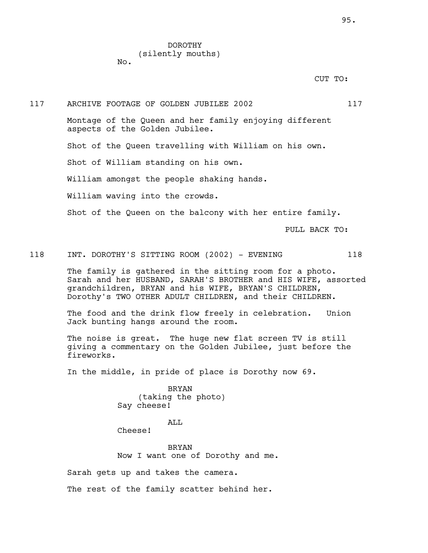DOROTHY (silently mouths) No.

CUT TO:

117 ARCHIVE FOOTAGE OF GOLDEN JUBILEE 2002 2002 Montage of the Queen and her family enjoying different aspects of the Golden Jubilee. Shot of the Queen travelling with William on his own. Shot of William standing on his own. William amongst the people shaking hands. William waving into the crowds. Shot of the Queen on the balcony with her entire family. PULL BACK TO:

118 INT. DOROTHY'S SITTING ROOM (2002) - EVENING 118

The family is gathered in the sitting room for a photo. Sarah and her HUSBAND, SARAH'S BROTHER and HIS WIFE, assorted grandchildren, BRYAN and his WIFE, BRYAN'S CHILDREN, Dorothy's TWO OTHER ADULT CHILDREN, and their CHILDREN.

The food and the drink flow freely in celebration. Union Jack bunting hangs around the room.

The noise is great. The huge new flat screen TV is still giving a commentary on the Golden Jubilee, just before the fireworks.

In the middle, in pride of place is Dorothy now 69.

BRYAN (taking the photo) Say cheese!

## ALL

Cheese!

BRYAN Now I want one of Dorothy and me.

Sarah gets up and takes the camera.

The rest of the family scatter behind her.